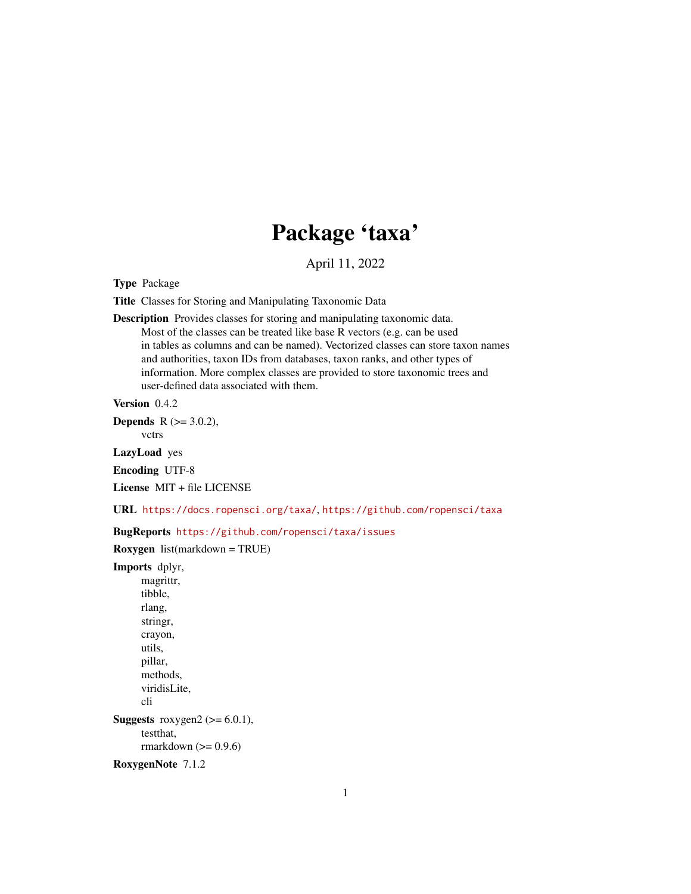# Package 'taxa'

April 11, 2022

<span id="page-0-0"></span>Type Package

Title Classes for Storing and Manipulating Taxonomic Data

Description Provides classes for storing and manipulating taxonomic data. Most of the classes can be treated like base R vectors (e.g. can be used in tables as columns and can be named). Vectorized classes can store taxon names and authorities, taxon IDs from databases, taxon ranks, and other types of information. More complex classes are provided to store taxonomic trees and user-defined data associated with them.

Version 0.4.2

**Depends** R  $(>= 3.0.2)$ ,

vctrs

LazyLoad yes

Encoding UTF-8

License MIT + file LICENSE

URL <https://docs.ropensci.org/taxa/>, <https://github.com/ropensci/taxa>

BugReports <https://github.com/ropensci/taxa/issues>

Roxygen list(markdown = TRUE)

Imports dplyr, magrittr, tibble, rlang, stringr, crayon, utils, pillar, methods, viridisLite, cli Suggests roxygen2 ( $>= 6.0.1$ ), testthat, rmarkdown  $(>= 0.9.6)$ 

RoxygenNote 7.1.2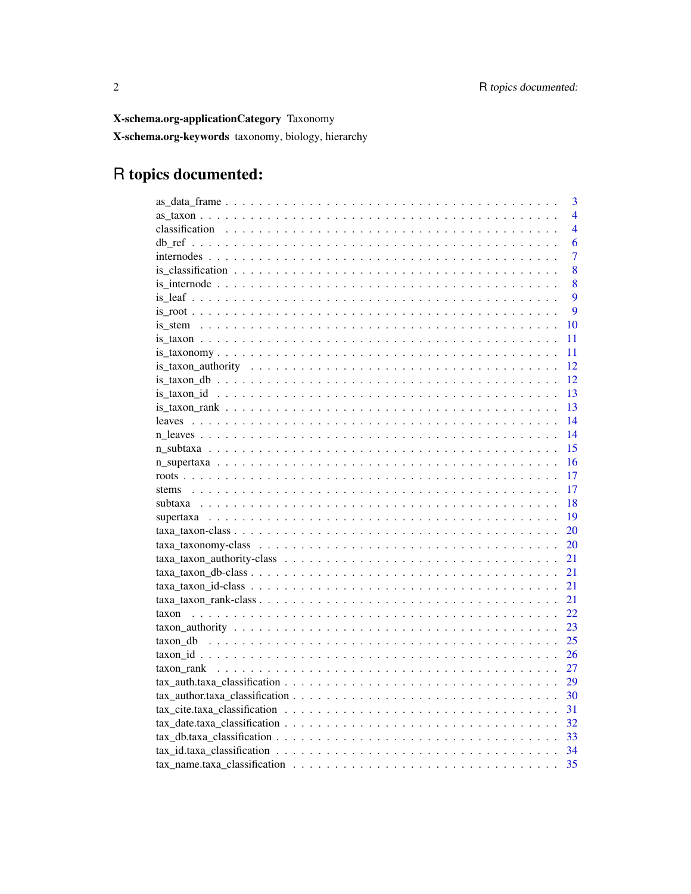X-schema.org-applicationCategory Taxonomy

X-schema.org-keywords taxonomy, biology, hierarchy

# R topics documented:

| 3                       |
|-------------------------|
| $\overline{\mathbf{4}}$ |
| $\overline{4}$          |
| 6                       |
| 7                       |
| 8                       |
| 8                       |
| 9                       |
| 9                       |
| 10                      |
| 11                      |
| 11                      |
| 12                      |
| 12                      |
| 13                      |
| 13                      |
| 14                      |
| 14                      |
| 15                      |
| 16                      |
| 17                      |
| 17                      |
| 18                      |
| 19                      |
| 20                      |
| 20                      |
| 21                      |
| 21                      |
| 21                      |
| 21                      |
| 22<br>taxon             |
| 23                      |
| 25                      |
| 26                      |
| 27                      |
| 29                      |
| 30                      |
| 31                      |
| 32                      |
| 33                      |
| 34                      |
| 35                      |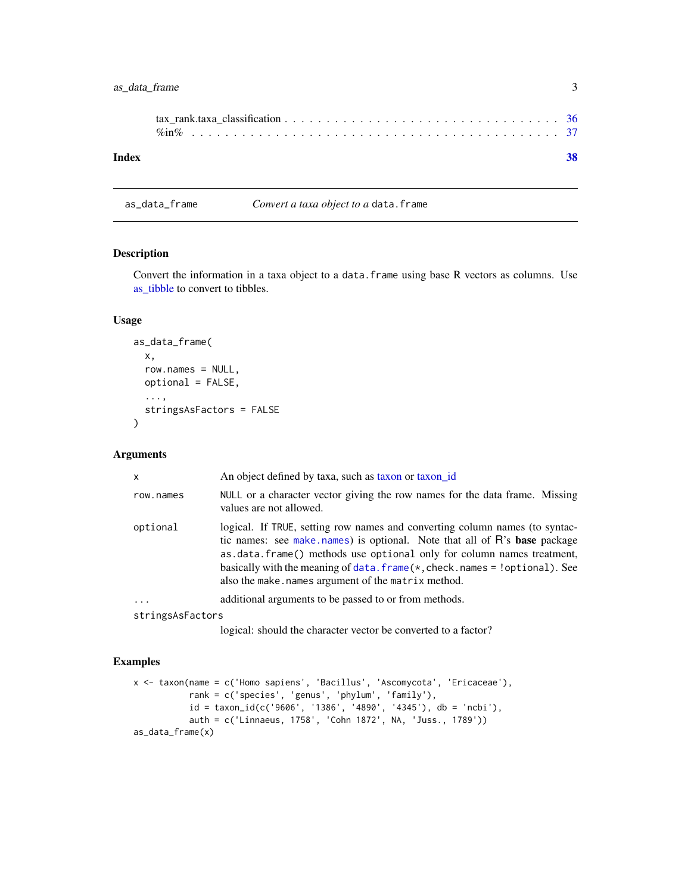<span id="page-2-0"></span>

| Index |  |
|-------|--|

as\_data\_frame *Convert a taxa object to a* data.frame

# Description

Convert the information in a taxa object to a data. frame using base R vectors as columns. Use [as\\_tibble](#page-0-0) to convert to tibbles.

# Usage

```
as_data_frame(
  x,
  row.names = NULL,
  optional = FALSE,
  ...,
  stringsAsFactors = FALSE
\mathcal{E}
```
# Arguments

| $\mathsf{x}$     | An object defined by taxa, such as taxon or taxon id                                                                                                                                                                                                                                                                                                                       |
|------------------|----------------------------------------------------------------------------------------------------------------------------------------------------------------------------------------------------------------------------------------------------------------------------------------------------------------------------------------------------------------------------|
| row.names        | NULL or a character vector giving the row names for the data frame. Missing<br>values are not allowed.                                                                                                                                                                                                                                                                     |
| optional         | logical. If TRUE, setting row names and converting column names (to syntac-<br>tic names: see make names) is optional. Note that all of R's base package<br>as.data.frame() methods use optional only for column names treatment,<br>basically with the meaning of data. $frame(*, check.$ names = ! optional). See<br>also the make. names argument of the matrix method. |
| $\cdots$         | additional arguments to be passed to or from methods.                                                                                                                                                                                                                                                                                                                      |
| stringsAsFactors |                                                                                                                                                                                                                                                                                                                                                                            |

logical: should the character vector be converted to a factor?

```
x <- taxon(name = c('Homo sapiens', 'Bacillus', 'Ascomycota', 'Ericaceae'),
           rank = c('species', 'genus', 'phylum', 'family'),
           id = taxon_id(c('9606', '1386', '4890', '4345')), db = 'ncbi'),auth = c('Linnaeus, 1758', 'Cohn 1872', NA, 'Juss., 1789'))
as_data_frame(x)
```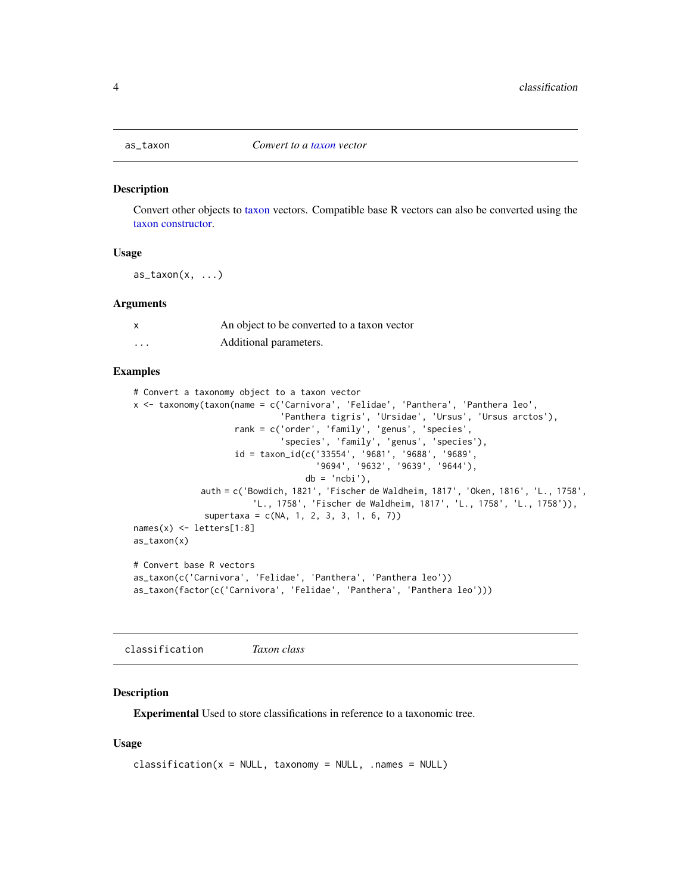<span id="page-3-0"></span>

#### Description

Convert other objects to [taxon](#page-21-1) vectors. Compatible base R vectors can also be converted using the [taxon constructor.](#page-21-1)

#### Usage

 $as\_taxon(x, \ldots)$ 

#### Arguments

| x        | An object to be converted to a taxon vector |
|----------|---------------------------------------------|
| $\cdots$ | Additional parameters.                      |

# Examples

```
# Convert a taxonomy object to a taxon vector
x <- taxonomy(taxon(name = c('Carnivora', 'Felidae', 'Panthera', 'Panthera leo',
                              'Panthera tigris', 'Ursidae', 'Ursus', 'Ursus arctos'),
                    rank = c('order', 'family', 'genus', 'species',
                              'species', 'family', 'genus', 'species'),
                    id = taxon_id(c('33554', '9681', '9688', '9689',
                                    '9694', '9632', '9639', '9644'),
                                  db = 'ncbi'),
             auth = c('Bowdich, 1821', 'Fischer de Waldheim, 1817', 'Oken, 1816', 'L., 1758',
                        'L., 1758', 'Fischer de Waldheim, 1817', 'L., 1758', 'L., 1758')),
              supertaxa = c(NA, 1, 2, 3, 3, 1, 6, 7)names(x) <- letters[1:8]
as_taxon(x)
# Convert base R vectors
as_taxon(c('Carnivora', 'Felidae', 'Panthera', 'Panthera leo'))
as_taxon(factor(c('Carnivora', 'Felidae', 'Panthera', 'Panthera leo')))
```
<span id="page-3-1"></span>classification *Taxon class*

#### Description

Experimental Used to store classifications in reference to a taxonomic tree.

```
classification(x = NULL, taxonomy = NULL, .names = NULL)
```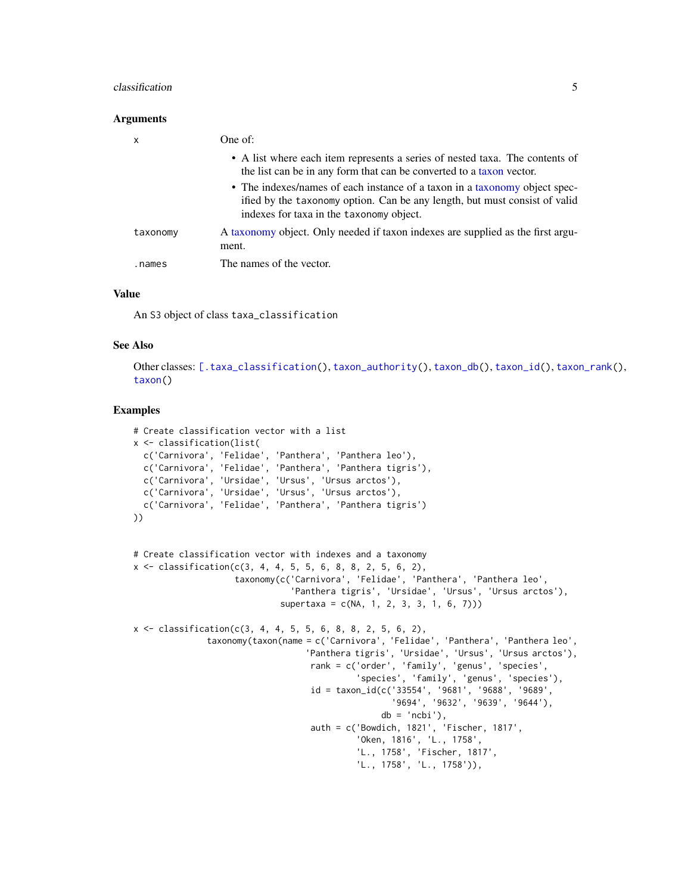#### <span id="page-4-0"></span>classification 5

#### Arguments

| x        | One of:                                                                                                                                                                                              |
|----------|------------------------------------------------------------------------------------------------------------------------------------------------------------------------------------------------------|
|          | • A list where each item represents a series of nested taxa. The contents of<br>the list can be in any form that can be converted to a taxon vector.                                                 |
|          | • The indexes/names of each instance of a taxon in a taxonomy object spec-<br>ified by the taxonomy option. Can be any length, but must consist of valid<br>indexes for taxa in the taxonomy object. |
| taxonomy | A taxonomy object. Only needed if taxon indexes are supplied as the first argu-<br>ment.                                                                                                             |
| .names   | The names of the vector.                                                                                                                                                                             |

#### Value

An S3 object of class taxa\_classification

#### See Also

Other classes: [\[.taxa\\_classification\(](#page-0-0)), [taxon\\_authority\(](#page-22-1)), [taxon\\_db\(](#page-24-1)), [taxon\\_id\(](#page-25-1)), [taxon\\_rank\(](#page-26-1)), [taxon\(](#page-21-1))

```
# Create classification vector with a list
x <- classification(list(
  c('Carnivora', 'Felidae', 'Panthera', 'Panthera leo'),
  c('Carnivora', 'Felidae', 'Panthera', 'Panthera tigris'),
  c('Carnivora', 'Ursidae', 'Ursus', 'Ursus arctos'),
  c('Carnivora', 'Ursidae', 'Ursus', 'Ursus arctos'),
  c('Carnivora', 'Felidae', 'Panthera', 'Panthera tigris')
))
# Create classification vector with indexes and a taxonomy
x \leq classification(c(3, 4, 4, 5, 5, 6, 8, 8, 2, 5, 6, 2),
                    taxonomy(c('Carnivora', 'Felidae', 'Panthera', 'Panthera leo',
                                'Panthera tigris', 'Ursidae', 'Ursus', 'Ursus arctos'),
                             supertaxa = c(NA, 1, 2, 3, 3, 1, 6, 7)))
x \leq classification(c(3, 4, 4, 5, 5, 6, 8, 8, 2, 5, 6, 2),
               taxonomy(taxon(name = c('Carnivora', 'Felidae', 'Panthera', 'Panthera leo',
                                   'Panthera tigris', 'Ursidae', 'Ursus', 'Ursus arctos'),
                                   rank = c('order', 'family', 'genus', 'species',
                                             'species', 'family', 'genus', 'species'),
                                   id = taxon_id(c('33554', '9681', '9688', '9689',
                                                    '9694', '9632', '9639', '9644'),
                                                 db = 'ncbi'),
                                   auth = c('Bowdich, 1821', 'Fischer, 1817',
                                             'Oken, 1816', 'L., 1758',
                                             'L., 1758', 'Fischer, 1817',
                                             'L., 1758', 'L., 1758')),
```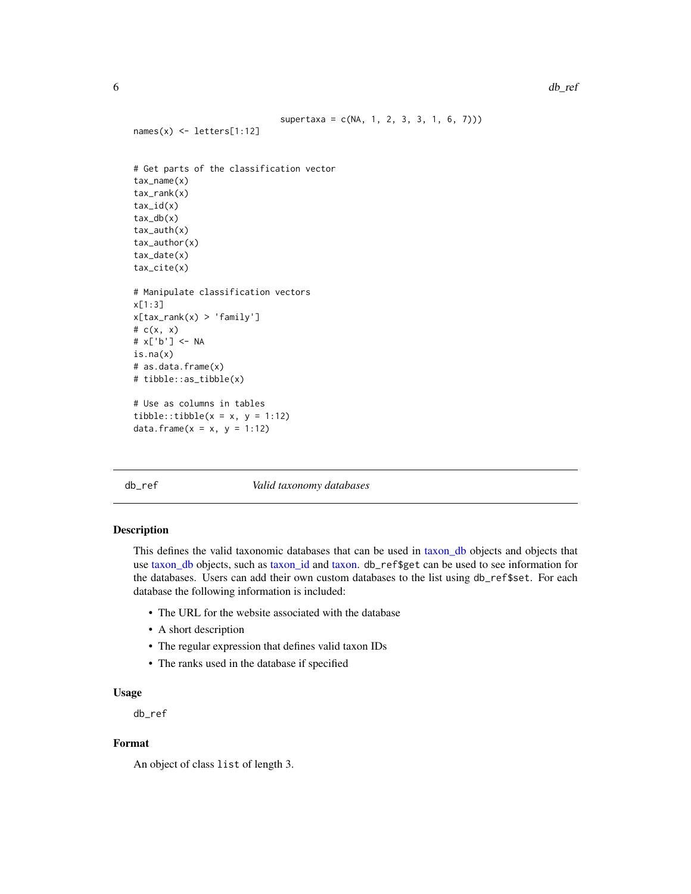```
supertaxa = c(NA, 1, 2, 3, 3, 1, 6, 7))names(x) <- letters[1:12]
# Get parts of the classification vector
tax_name(x)
tax_rank(x)
tax_id(x)
tax_db(x)tax_auth(x)
tax_author(x)
tax_date(x)
tax_cite(x)
# Manipulate classification vectors
x[1:3]
x[tax_rank(x) > 'family']
# c(x, x)
# x['b'] <- NA
is.na(x)
# as.data.frame(x)
# tibble::as_tibble(x)
# Use as columns in tables
tibble::tibble(x = x, y = 1:12)data.frame(x = x, y = 1:12)
```
<span id="page-5-1"></span>db\_ref *Valid taxonomy databases*

#### Description

This defines the valid taxonomic databases that can be used in [taxon\\_db](#page-24-1) objects and objects that use [taxon\\_db](#page-24-1) objects, such as [taxon\\_id](#page-25-1) and [taxon.](#page-21-1) db\_ref\$get can be used to see information for the databases. Users can add their own custom databases to the list using db\_ref\$set. For each database the following information is included:

- The URL for the website associated with the database
- A short description
- The regular expression that defines valid taxon IDs
- The ranks used in the database if specified

#### Usage

db\_ref

# Format

An object of class list of length 3.

<span id="page-5-0"></span>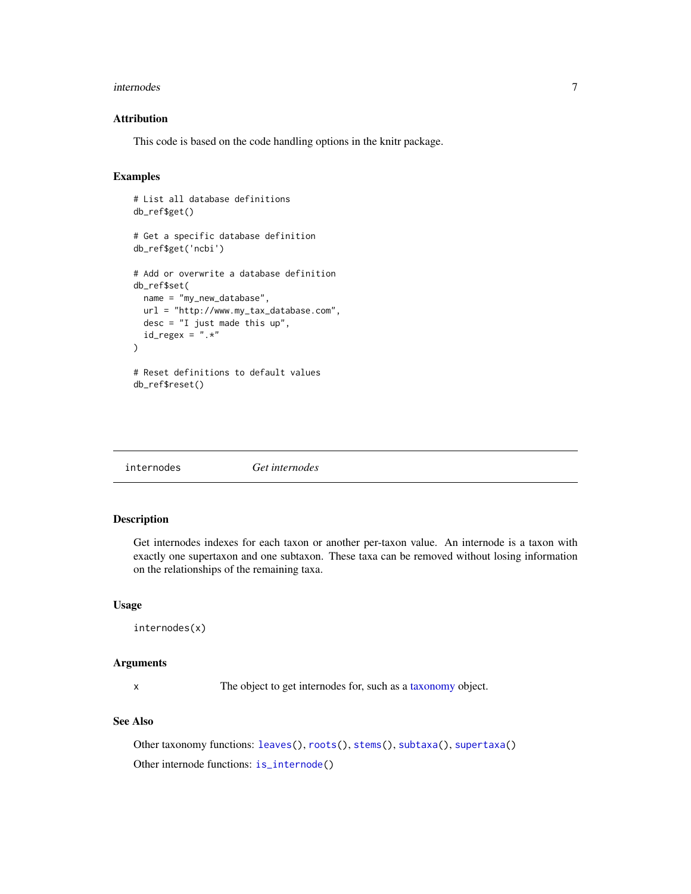#### <span id="page-6-0"></span>internodes 7

# Attribution

This code is based on the code handling options in the knitr package.

# Examples

```
# List all database definitions
db_ref$get()
# Get a specific database definition
db_ref$get('ncbi')
# Add or overwrite a database definition
db_ref$set(
 name = "my_new_database",
 url = "http://www.my_tax_database.com",
 desc = "I just made this up",
 id_{regex} = ".*")
# Reset definitions to default values
db_ref$reset()
```
<span id="page-6-1"></span>

internodes *Get internodes*

# Description

Get internodes indexes for each taxon or another per-taxon value. An internode is a taxon with exactly one supertaxon and one subtaxon. These taxa can be removed without losing information on the relationships of the remaining taxa.

#### Usage

internodes(x)

#### Arguments

x The object to get internodes for, such as a [taxonomy](#page-0-0) object.

# See Also

Other taxonomy functions: [leaves\(](#page-13-1)), [roots\(](#page-16-1)), [stems\(](#page-16-2)), [subtaxa\(](#page-17-1)), [supertaxa\(](#page-18-1)) Other internode functions: [is\\_internode\(](#page-7-1))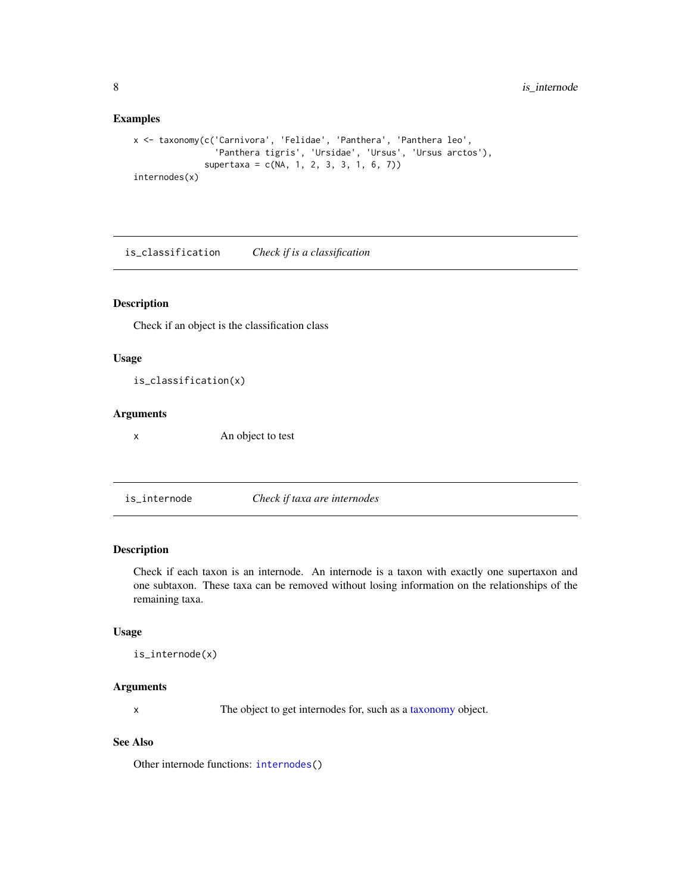# Examples

```
x <- taxonomy(c('Carnivora', 'Felidae', 'Panthera', 'Panthera leo',
                'Panthera tigris', 'Ursidae', 'Ursus', 'Ursus arctos'),
              supertaxa = c(NA, 1, 2, 3, 3, 1, 6, 7))
internodes(x)
```
is\_classification *Check if is a classification*

# Description

Check if an object is the classification class

#### Usage

is\_classification(x)

#### Arguments

x An object to test

<span id="page-7-1"></span>is\_internode *Check if taxa are internodes*

# Description

Check if each taxon is an internode. An internode is a taxon with exactly one supertaxon and one subtaxon. These taxa can be removed without losing information on the relationships of the remaining taxa.

#### Usage

```
is_internode(x)
```
#### Arguments

x The object to get internodes for, such as a [taxonomy](#page-0-0) object.

#### See Also

Other internode functions: [internodes\(](#page-6-1))

<span id="page-7-0"></span>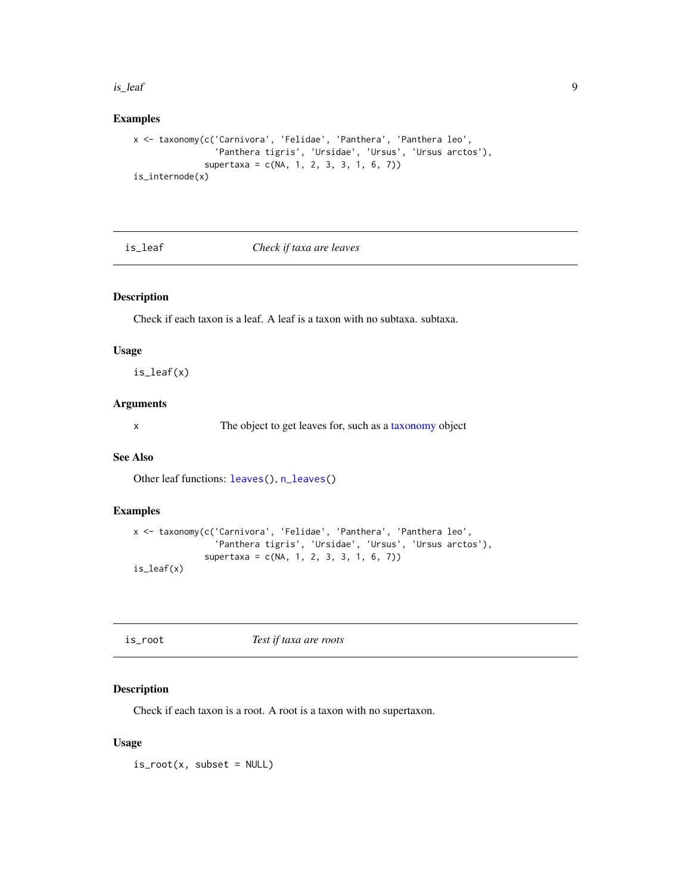#### <span id="page-8-0"></span>is\_leaf 9

# Examples

```
x <- taxonomy(c('Carnivora', 'Felidae', 'Panthera', 'Panthera leo',
                'Panthera tigris', 'Ursidae', 'Ursus', 'Ursus arctos'),
              supertaxa = c(NA, 1, 2, 3, 3, 1, 6, 7))
is_internode(x)
```
# <span id="page-8-1"></span>is\_leaf *Check if taxa are leaves*

# Description

Check if each taxon is a leaf. A leaf is a taxon with no subtaxa. subtaxa.

# Usage

is\_leaf(x)

# Arguments

x The object to get leaves for, such as a [taxonomy](#page-0-0) object

# See Also

Other leaf functions: [leaves\(](#page-13-1)), [n\\_leaves\(](#page-13-2))

# Examples

```
x <- taxonomy(c('Carnivora', 'Felidae', 'Panthera', 'Panthera leo',
                'Panthera tigris', 'Ursidae', 'Ursus', 'Ursus arctos'),
              supertaxa = c(NA, 1, 2, 3, 3, 1, 6, 7))
is_leaf(x)
```
<span id="page-8-2"></span>

| is_root | Test if taxa are roots |  |
|---------|------------------------|--|

# Description

Check if each taxon is a root. A root is a taxon with no supertaxon.

#### Usage

 $is\_root(x, subset = NULL)$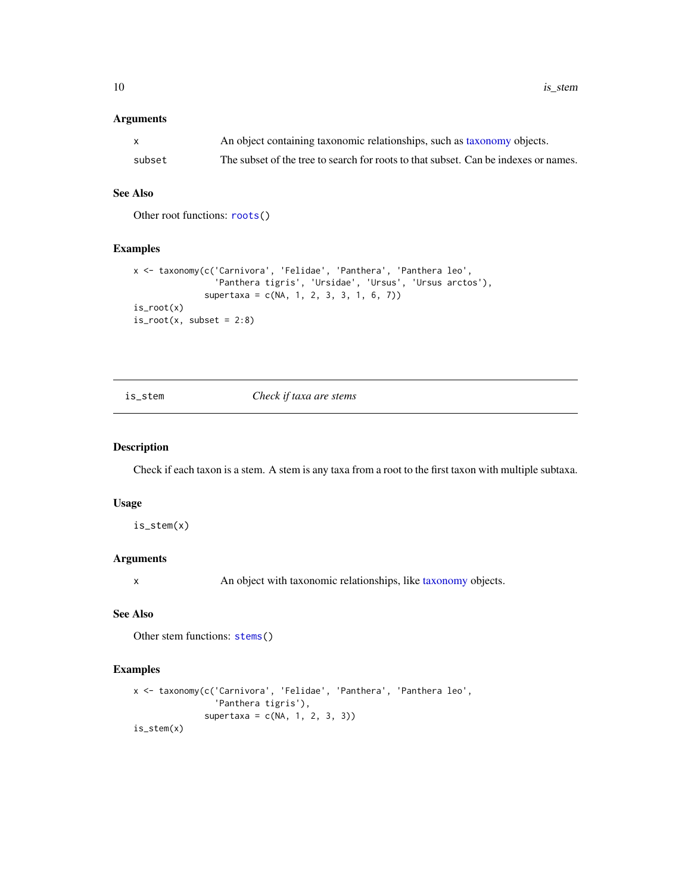<span id="page-9-0"></span>10 is\_stem in the state of the state of the state of the state of the state of the state of the state of the state of the state of the state of the state of the state of the state of the state of the state of the state of

# Arguments

| X.     | An object containing taxonomic relationships, such as taxonomy objects.             |
|--------|-------------------------------------------------------------------------------------|
| subset | The subset of the tree to search for roots to that subset. Can be indexes or names. |

# See Also

Other root functions: [roots\(](#page-16-1))

#### Examples

```
x <- taxonomy(c('Carnivora', 'Felidae', 'Panthera', 'Panthera leo',
                'Panthera tigris', 'Ursidae', 'Ursus', 'Ursus arctos'),
              supertaxa = c(NA, 1, 2, 3, 3, 1, 6, 7))
is_root(x)
is\_root(x, subset = 2:8)
```
#### <span id="page-9-1"></span>is\_stem *Check if taxa are stems*

#### Description

Check if each taxon is a stem. A stem is any taxa from a root to the first taxon with multiple subtaxa.

#### Usage

is\_stem(x)

# Arguments

x An object with taxonomic relationships, like [taxonomy](#page-0-0) objects.

# See Also

Other stem functions: [stems\(](#page-16-2))

```
x <- taxonomy(c('Carnivora', 'Felidae', 'Panthera', 'Panthera leo',
                'Panthera tigris'),
              supertaxa = c(NA, 1, 2, 3, 3))is_stem(x)
```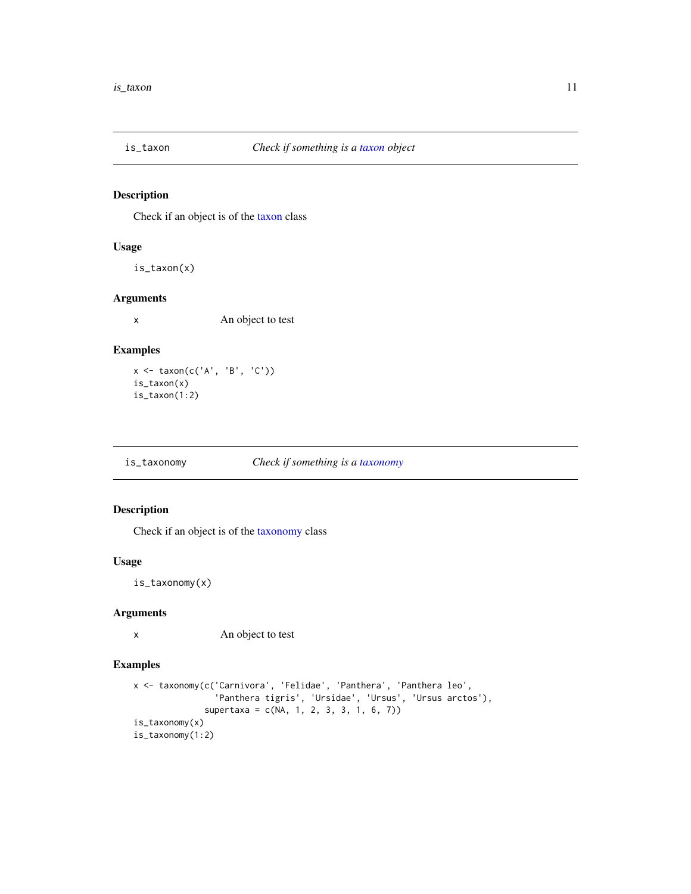<span id="page-10-0"></span>

# Description

Check if an object is of the [taxon](#page-21-1) class

# Usage

is\_taxon(x)

# Arguments

x An object to test

# Examples

x <- taxon(c('A', 'B', 'C')) is\_taxon(x) is\_taxon(1:2)

is\_taxonomy *Check if something is a [taxonomy](#page-0-0)*

# Description

Check if an object is of the [taxonomy](#page-0-0) class

#### Usage

is\_taxonomy(x)

# Arguments

x An object to test

```
x <- taxonomy(c('Carnivora', 'Felidae', 'Panthera', 'Panthera leo',
                'Panthera tigris', 'Ursidae', 'Ursus', 'Ursus arctos'),
              supertaxa = c(NA, 1, 2, 3, 3, 1, 6, 7))
is_taxonomy(x)
is_taxonomy(1:2)
```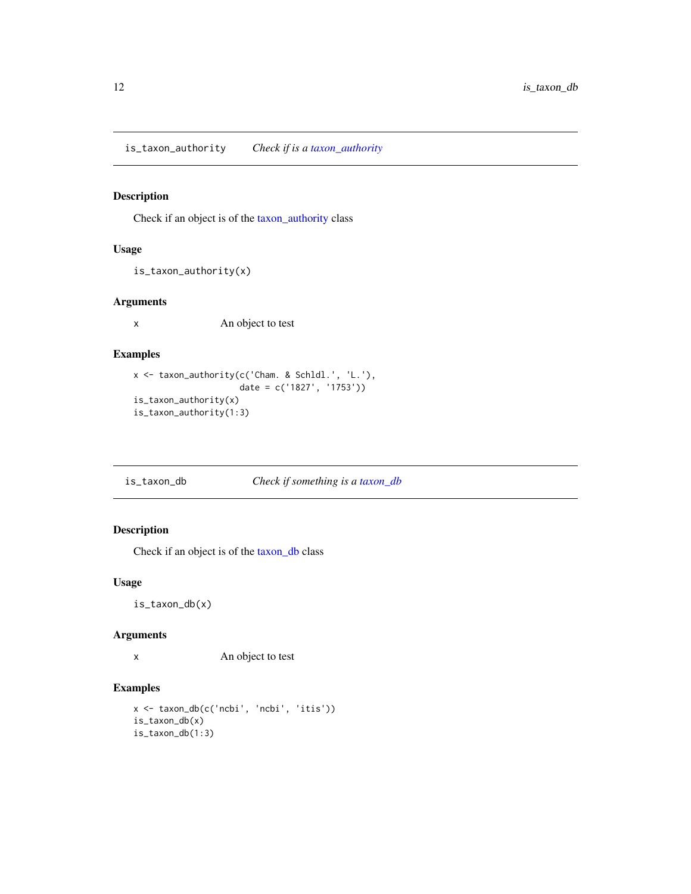<span id="page-11-0"></span>is\_taxon\_authority *Check if is a [taxon\\_authority](#page-22-1)*

# Description

Check if an object is of the [taxon\\_authority](#page-22-1) class

# Usage

```
is_taxon_authority(x)
```
#### Arguments

x An object to test

# Examples

```
x <- taxon_authority(c('Cham. & Schldl.', 'L.'),
                     date = c('1827', '1753'))
is_taxon_authority(x)
is_taxon_authority(1:3)
```
is\_taxon\_db *Check if something is a [taxon\\_db](#page-24-1)*

# Description

Check if an object is of the [taxon\\_db](#page-24-1) class

# Usage

is\_taxon\_db(x)

#### Arguments

x An object to test

```
x <- taxon_db(c('ncbi', 'ncbi', 'itis'))
is_taxon_db(x)
is_taxon_db(1:3)
```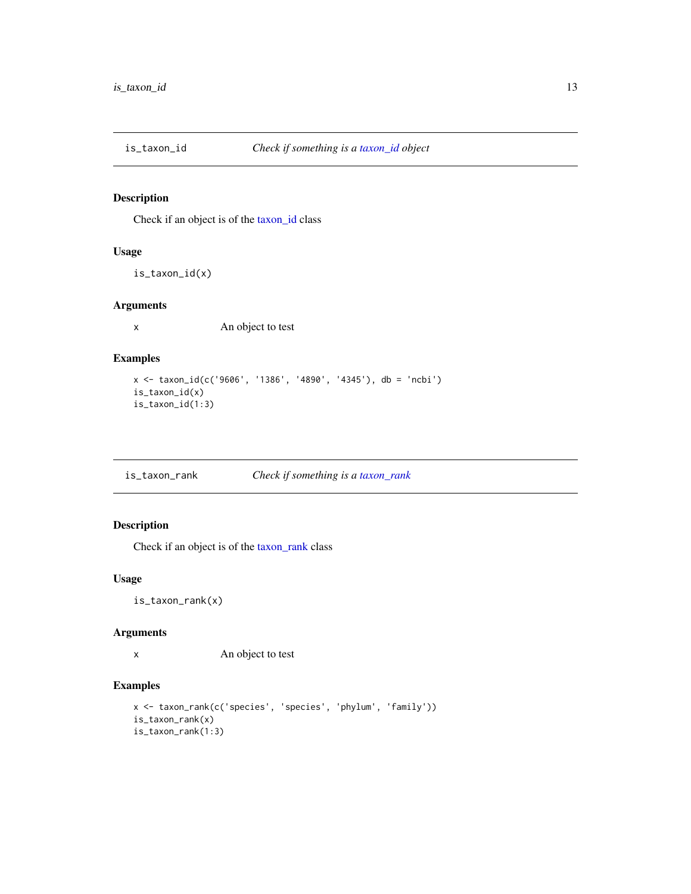<span id="page-12-0"></span>

# Description

Check if an object is of the [taxon\\_id](#page-25-1) class

#### Usage

is\_taxon\_id(x)

# Arguments

x An object to test

# Examples

```
x <- taxon_id(c('9606', '1386', '4890', '4345'), db = 'ncbi')
is_taxon_id(x)
is_taxon_id(1:3)
```
is\_taxon\_rank *Check if something is a [taxon\\_rank](#page-26-1)*

# Description

Check if an object is of the [taxon\\_rank](#page-26-1) class

# Usage

is\_taxon\_rank(x)

#### Arguments

x An object to test

```
x <- taxon_rank(c('species', 'species', 'phylum', 'family'))
is_taxon_rank(x)
is_taxon_rank(1:3)
```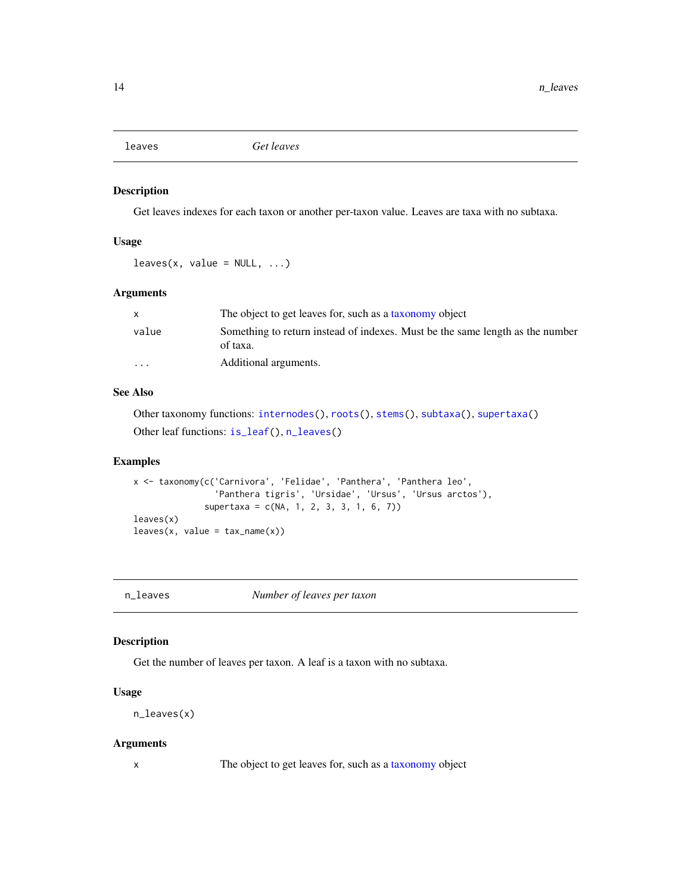<span id="page-13-1"></span><span id="page-13-0"></span>

#### Description

Get leaves indexes for each taxon or another per-taxon value. Leaves are taxa with no subtaxa.

# Usage

 $leaves(x, value = NULL, ...)$ 

# Arguments

|                         | The object to get leaves for, such as a taxonomy object                                   |
|-------------------------|-------------------------------------------------------------------------------------------|
| value                   | Something to return instead of indexes. Must be the same length as the number<br>of taxa. |
| $\cdot$ $\cdot$ $\cdot$ | Additional arguments.                                                                     |

# See Also

Other taxonomy functions: [internodes\(](#page-6-1)), [roots\(](#page-16-1)), [stems\(](#page-16-2)), [subtaxa\(](#page-17-1)), [supertaxa\(](#page-18-1)) Other leaf functions: [is\\_leaf\(](#page-8-1)), [n\\_leaves\(](#page-13-2))

#### Examples

```
x <- taxonomy(c('Carnivora', 'Felidae', 'Panthera', 'Panthera leo',
                 'Panthera tigris', 'Ursidae', 'Ursus', 'Ursus arctos'),
              supertaxa = c(NA, 1, 2, 3, 3, 1, 6, 7))
leaves(x)
leaves(x, value = tax_name(x))
```
<span id="page-13-2"></span>n\_leaves *Number of leaves per taxon*

#### Description

Get the number of leaves per taxon. A leaf is a taxon with no subtaxa.

#### Usage

n\_leaves(x)

#### Arguments

x The object to get leaves for, such as a [taxonomy](#page-0-0) object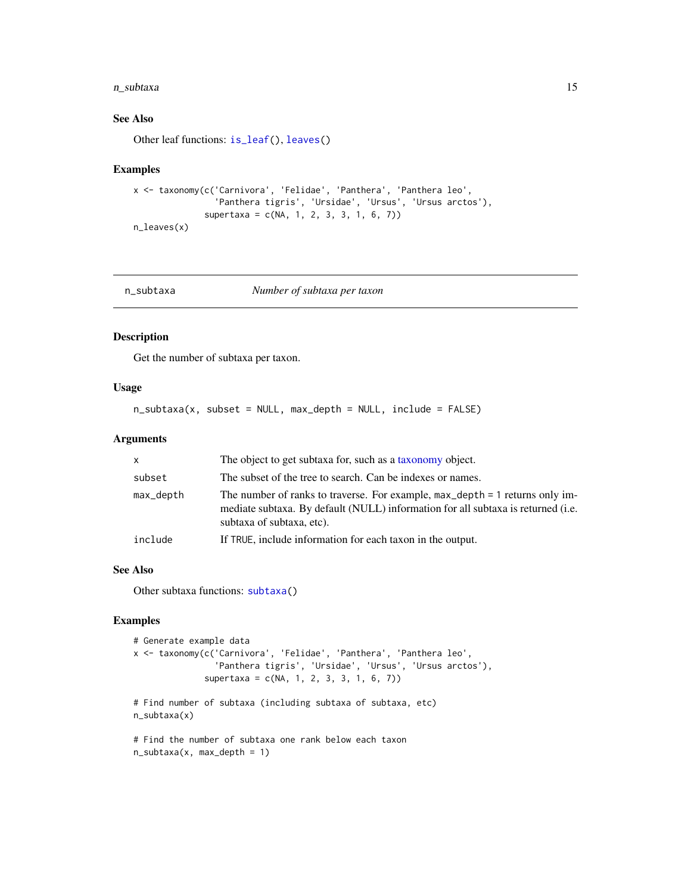#### <span id="page-14-0"></span>n\_subtaxa 15

# See Also

Other leaf functions: [is\\_leaf\(](#page-8-1)), [leaves\(](#page-13-1))

#### Examples

```
x <- taxonomy(c('Carnivora', 'Felidae', 'Panthera', 'Panthera leo',
                'Panthera tigris', 'Ursidae', 'Ursus', 'Ursus arctos'),
              supertaxa = c(NA, 1, 2, 3, 3, 1, 6, 7)n_leaves(x)
```
<span id="page-14-1"></span>n\_subtaxa *Number of subtaxa per taxon*

#### Description

Get the number of subtaxa per taxon.

#### Usage

n\_subtaxa(x, subset = NULL, max\_depth = NULL, include = FALSE)

#### Arguments

| X         | The object to get subtaxa for, such as a taxonomy object.                                                                                                                                     |
|-----------|-----------------------------------------------------------------------------------------------------------------------------------------------------------------------------------------------|
| subset    | The subset of the tree to search. Can be indexes or names.                                                                                                                                    |
| max_depth | The number of ranks to traverse. For example, max_depth = 1 returns only im-<br>mediate subtaxa. By default (NULL) information for all subtaxa is returned (i.e.<br>subtaxa of subtaxa, etc). |
| include   | If TRUE, include information for each taxon in the output.                                                                                                                                    |

#### See Also

Other subtaxa functions: [subtaxa\(](#page-17-1))

```
# Generate example data
x <- taxonomy(c('Carnivora', 'Felidae', 'Panthera', 'Panthera leo',
                'Panthera tigris', 'Ursidae', 'Ursus', 'Ursus arctos'),
              supertaxa = c(NA, 1, 2, 3, 3, 1, 6, 7)# Find number of subtaxa (including subtaxa of subtaxa, etc)
n_subtaxa(x)
# Find the number of subtaxa one rank below each taxon
n\_subtaxa(x, max\_depth = 1)
```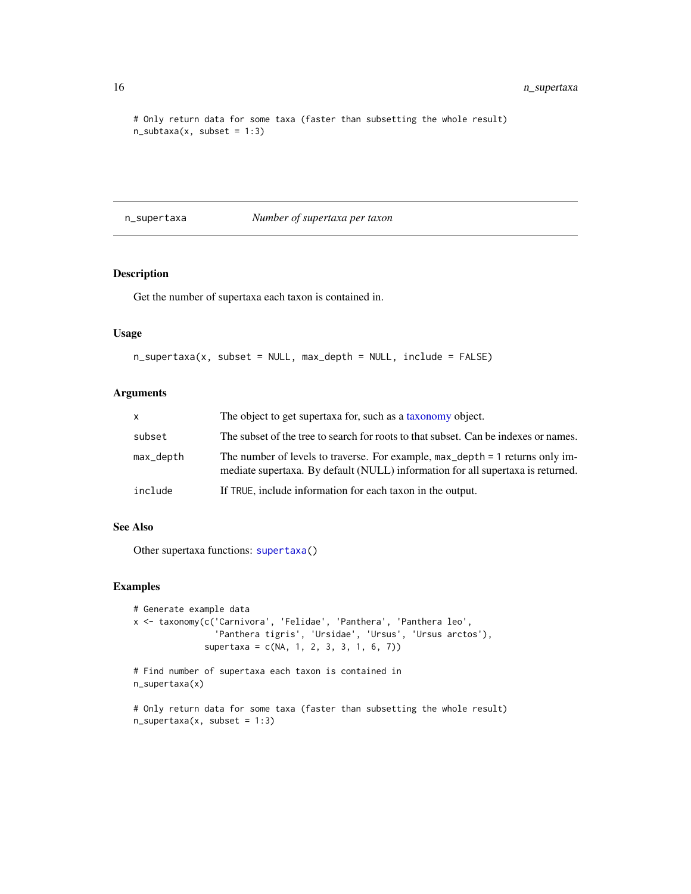# Only return data for some taxa (faster than subsetting the whole result)  $n\_subtaxa(x, subset = 1:3)$ 

<span id="page-15-1"></span>n\_supertaxa *Number of supertaxa per taxon*

# **Description**

Get the number of supertaxa each taxon is contained in.

#### Usage

```
n_supertaxa(x, subset = NULL, max_depth = NULL, include = FALSE)
```
# Arguments

| X         | The object to get supertaxa for, such as a taxonomy object.                                                                                                                 |
|-----------|-----------------------------------------------------------------------------------------------------------------------------------------------------------------------------|
| subset    | The subset of the tree to search for roots to that subset. Can be indexes or names.                                                                                         |
| max_depth | The number of levels to traverse. For example, $max_{\text{depth}} = 1$ returns only im-<br>mediate supertaxa. By default (NULL) information for all supertaxa is returned. |
| include   | If TRUE, include information for each taxon in the output.                                                                                                                  |

# See Also

Other supertaxa functions: [supertaxa\(](#page-18-1))

```
# Generate example data
x <- taxonomy(c('Carnivora', 'Felidae', 'Panthera', 'Panthera leo',
                'Panthera tigris', 'Ursidae', 'Ursus', 'Ursus arctos'),
              supertaxa = c(NA, 1, 2, 3, 3, 1, 6, 7))
# Find number of supertaxa each taxon is contained in
n_supertaxa(x)
```

```
# Only return data for some taxa (faster than subsetting the whole result)
n_supertaxa(x, subset = 1:3)
```
<span id="page-15-0"></span>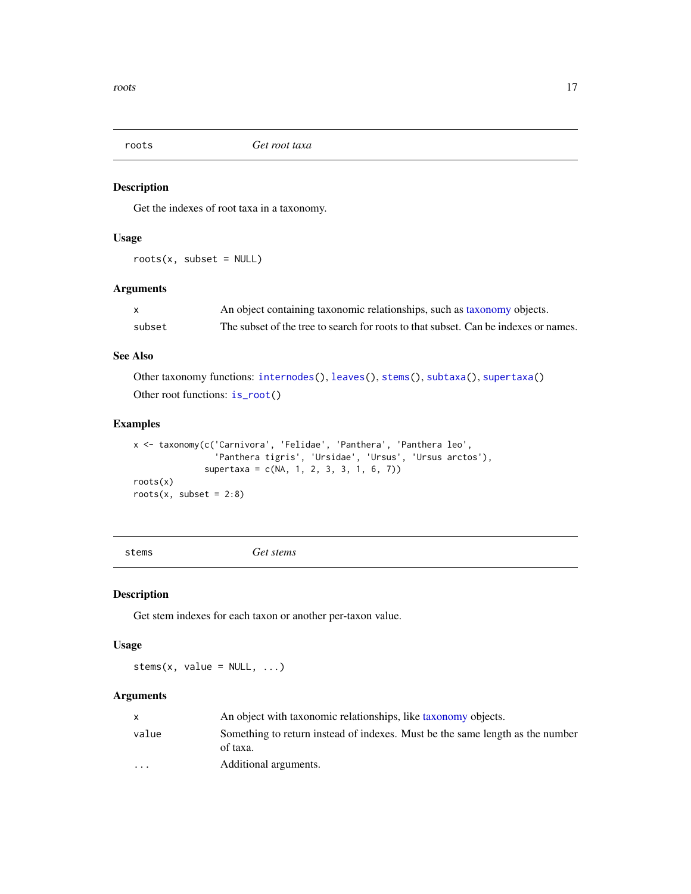<span id="page-16-1"></span><span id="page-16-0"></span>

# Description

Get the indexes of root taxa in a taxonomy.

#### Usage

 $roots(x, subset = NULL)$ 

#### Arguments

|        | An object containing taxonomic relationships, such as taxonomy objects.             |
|--------|-------------------------------------------------------------------------------------|
| subset | The subset of the tree to search for roots to that subset. Can be indexes or names. |

# See Also

Other taxonomy functions: [internodes\(](#page-6-1)), [leaves\(](#page-13-1)), [stems\(](#page-16-2)), [subtaxa\(](#page-17-1)), [supertaxa\(](#page-18-1)) Other root functions: [is\\_root\(](#page-8-2))

#### Examples

x <- taxonomy(c('Carnivora', 'Felidae', 'Panthera', 'Panthera leo', 'Panthera tigris', 'Ursidae', 'Ursus', 'Ursus arctos'), supertaxa = c(NA, 1, 2, 3, 3, 1, 6, 7)) roots(x) roots $(x, \text{ subset} = 2:8)$ 

<span id="page-16-2"></span>stems *Get stems*

# Description

Get stem indexes for each taxon or another per-taxon value.

# Usage

stems(x, value =  $NULL, ...)$ 

# Arguments

|                         | An object with taxonomic relationships, like taxonomy objects.                            |
|-------------------------|-------------------------------------------------------------------------------------------|
| value                   | Something to return instead of indexes. Must be the same length as the number<br>of taxa. |
| $\cdot$ $\cdot$ $\cdot$ | Additional arguments.                                                                     |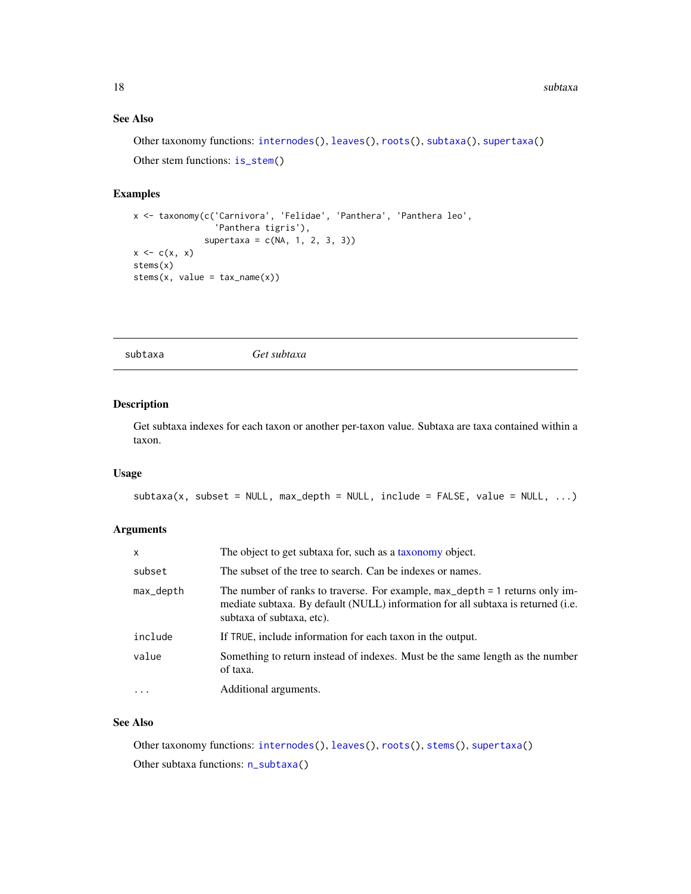#### <span id="page-17-0"></span>See Also

Other taxonomy functions: [internodes\(](#page-6-1)), [leaves\(](#page-13-1)), [roots\(](#page-16-1)), [subtaxa\(](#page-17-1)), [supertaxa\(](#page-18-1)) Other stem functions: [is\\_stem\(](#page-9-1))

# Examples

```
x <- taxonomy(c('Carnivora', 'Felidae', 'Panthera', 'Panthera leo',
                'Panthera tigris'),
              supertaxa = c(NA, 1, 2, 3, 3))
x \leftarrow c(x, x)stems(x)
stems(x, value = tax_name(x))
```
<span id="page-17-1"></span>subtaxa *Get subtaxa*

# Description

Get subtaxa indexes for each taxon or another per-taxon value. Subtaxa are taxa contained within a taxon.

#### Usage

```
subtaxa(x, subset = NULL, max_depth = NULL, include = FALSE, value = NULL, ...)
```
#### Arguments

| X         | The object to get subtaxa for, such as a taxonomy object.                                                                                                                                                |
|-----------|----------------------------------------------------------------------------------------------------------------------------------------------------------------------------------------------------------|
| subset    | The subset of the tree to search. Can be indexes or names.                                                                                                                                               |
| max_depth | The number of ranks to traverse. For example, $max_{\text{depth}} = 1$ returns only im-<br>mediate subtaxa. By default (NULL) information for all subtaxa is returned (i.e.<br>subtaxa of subtaxa, etc). |
| include   | If TRUE, include information for each taxon in the output.                                                                                                                                               |
| value     | Something to return instead of indexes. Must be the same length as the number<br>of taxa.                                                                                                                |
| $\cdots$  | Additional arguments.                                                                                                                                                                                    |

# See Also

Other taxonomy functions: [internodes\(](#page-6-1)), [leaves\(](#page-13-1)), [roots\(](#page-16-1)), [stems\(](#page-16-2)), [supertaxa\(](#page-18-1)) Other subtaxa functions: [n\\_subtaxa\(](#page-14-1))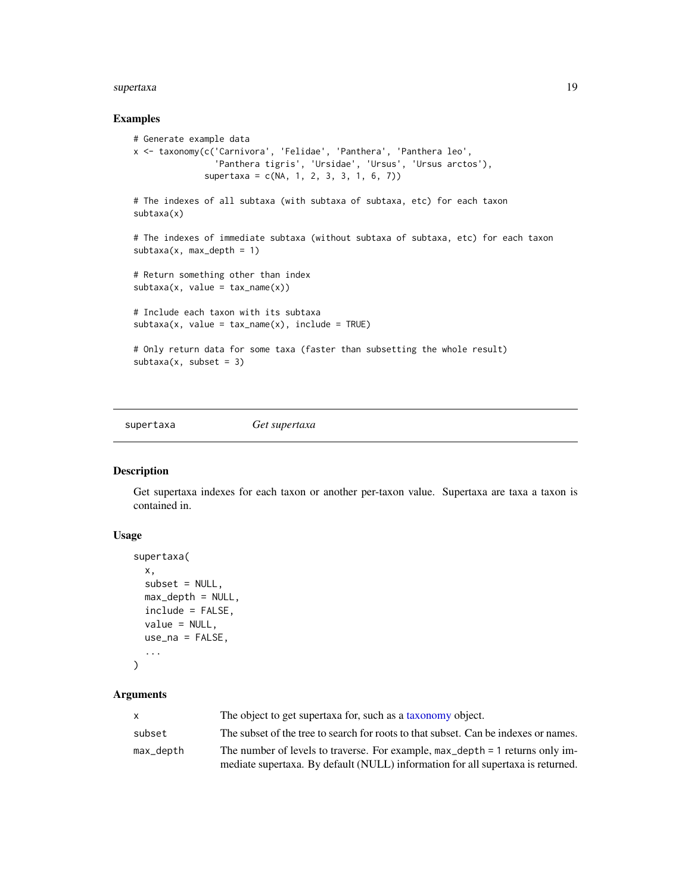#### <span id="page-18-0"></span>supertaxa and the supertaxa and the supertaxa and the supertaxa and the supertaxa and the supertaxa and the supertaxa and the supertaxa and the supertaxa and the supertaxa and the supertaxa and the supertaxa and the supert

#### Examples

```
# Generate example data
x <- taxonomy(c('Carnivora', 'Felidae', 'Panthera', 'Panthera leo',
                'Panthera tigris', 'Ursidae', 'Ursus', 'Ursus arctos'),
              supertaxa = c(NA, 1, 2, 3, 3, 1, 6, 7)# The indexes of all subtaxa (with subtaxa of subtaxa, etc) for each taxon
subtaxa(x)
# The indexes of immediate subtaxa (without subtaxa of subtaxa, etc) for each taxon
subtaxa(x, max_depth = 1)# Return something other than index
subtaxa(x, value = tax_name(x))# Include each taxon with its subtaxa
subtaxa(x, value = tax_name(x), include = TRUE)# Only return data for some taxa (faster than subsetting the whole result)
subtaxa(x, subset = 3)
```
<span id="page-18-1"></span>

supertaxa *Get supertaxa*

# Description

Get supertaxa indexes for each taxon or another per-taxon value. Supertaxa are taxa a taxon is contained in.

#### Usage

```
supertaxa(
  x,
  subset = NULL,max_depth = NULL,
  include = FALSE,
  value = NULL,
  use_na = FALSE,...
```
# $\mathcal{L}$

# **Arguments**

| X         | The object to get supertaxa for, such as a taxonomy object.                              |
|-----------|------------------------------------------------------------------------------------------|
| subset    | The subset of the tree to search for roots to that subset. Can be indexes or names.      |
| max_depth | The number of levels to traverse. For example, $max_{\text{depth}} = 1$ returns only im- |
|           | mediate supertaxa. By default (NULL) information for all supertaxa is returned.          |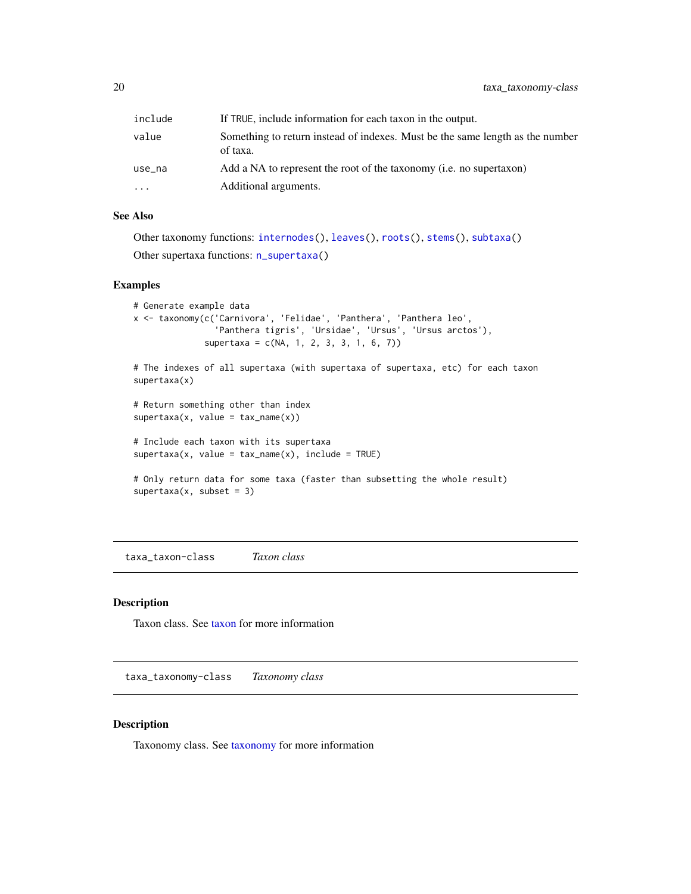<span id="page-19-0"></span>

| include | If TRUE, include information for each taxon in the output.                                |
|---------|-------------------------------------------------------------------------------------------|
| value   | Something to return instead of indexes. Must be the same length as the number<br>of taxa. |
| use_na  | Add a NA to represent the root of the taxonomy (i.e. no supertaxon)                       |
| .       | Additional arguments.                                                                     |

# See Also

```
Other taxonomy functions: internodes(), leaves(), roots(), stems(), subtaxa()
Other supertaxa functions: n_supertaxa()
```
#### Examples

```
# Generate example data
x <- taxonomy(c('Carnivora', 'Felidae', 'Panthera', 'Panthera leo',
                'Panthera tigris', 'Ursidae', 'Ursus', 'Ursus arctos'),
              supertaxa = c(NA, 1, 2, 3, 3, 1, 6, 7)
```

```
# The indexes of all supertaxa (with supertaxa of supertaxa, etc) for each taxon
supertaxa(x)
```

```
# Return something other than index
supertaxa(x, value = tax_name(x))
```

```
# Include each taxon with its supertaxa
supertaxa(x, value = tax_name(x), include = TRUE)
```

```
# Only return data for some taxa (faster than subsetting the whole result)
supertaxa(x, subset = 3)
```
taxa\_taxon-class *Taxon class*

# Description

Taxon class. See [taxon](#page-21-1) for more information

taxa\_taxonomy-class *Taxonomy class*

#### Description

Taxonomy class. See [taxonomy](#page-0-0) for more information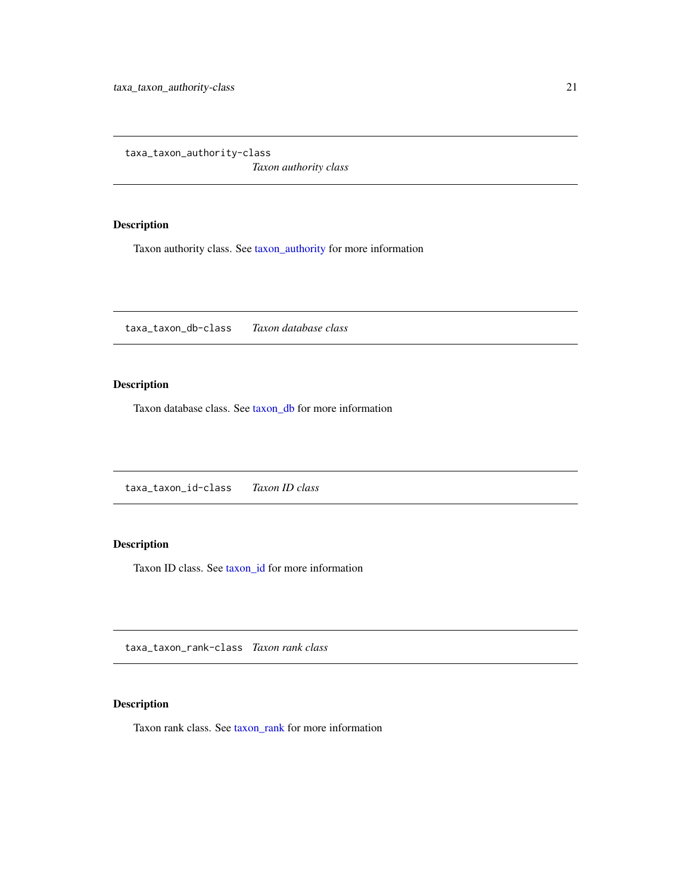<span id="page-20-0"></span>taxa\_taxon\_authority-class

*Taxon authority class*

# Description

Taxon authority class. See [taxon\\_authority](#page-22-1) for more information

taxa\_taxon\_db-class *Taxon database class*

# Description

Taxon database class. See [taxon\\_db](#page-24-1) for more information

taxa\_taxon\_id-class *Taxon ID class*

# Description

Taxon ID class. See [taxon\\_id](#page-25-1) for more information

taxa\_taxon\_rank-class *Taxon rank class*

# Description

Taxon rank class. See [taxon\\_rank](#page-26-1) for more information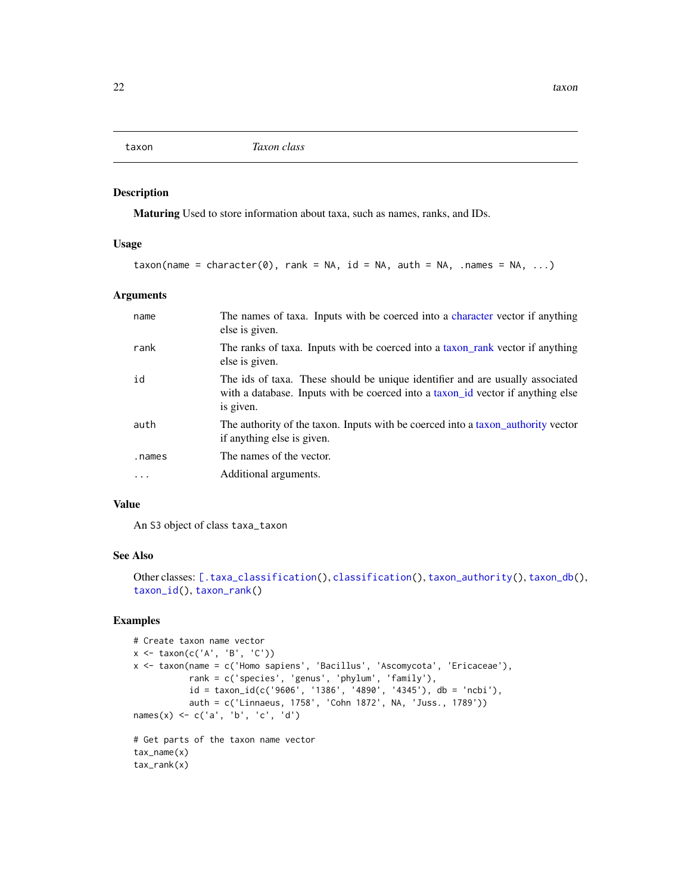<span id="page-21-1"></span><span id="page-21-0"></span>

#### Description

Maturing Used to store information about taxa, such as names, ranks, and IDs.

#### Usage

```
taxon(name = character(0), rank = NA, id = NA, auth = NA, .names = NA, ...)
```
#### Arguments

| name      | The names of taxa. Inputs with be coerced into a character vector if anything<br>else is given.                                                                               |
|-----------|-------------------------------------------------------------------------------------------------------------------------------------------------------------------------------|
| rank      | The ranks of taxa. Inputs with be coerced into a taxon rank vector if anything<br>else is given.                                                                              |
| id        | The ids of taxa. These should be unique identifier and are usually associated<br>with a database. Inputs with be coerced into a taxon id vector if anything else<br>is given. |
| auth      | The authority of the taxon. Inputs with be coerced into a taxon authority vector<br>if anything else is given.                                                                |
| .names    | The names of the vector.                                                                                                                                                      |
| $\ddotsc$ | Additional arguments.                                                                                                                                                         |

# Value

An S3 object of class taxa\_taxon

# See Also

```
[.taxa_classification(classification(taxon_authority(taxon_db(),
taxon_id(), taxon_rank()
```

```
# Create taxon name vector
x <- taxon(c('A', 'B', 'C'))
x <- taxon(name = c('Homo sapiens', 'Bacillus', 'Ascomycota', 'Ericaceae'),
           rank = c('species', 'genus', 'phylum', 'family'),
           id = taxon_id(c('9606', '1386', '4890', '4345'), db = 'ncbi'),
           auth = c('Linnaeus, 1758', 'Cohn 1872', NA, 'Juss., 1789'))
names(x) <- c('a', 'b', 'c', 'd')
# Get parts of the taxon name vector
tax_name(x)
tax_rank(x)
```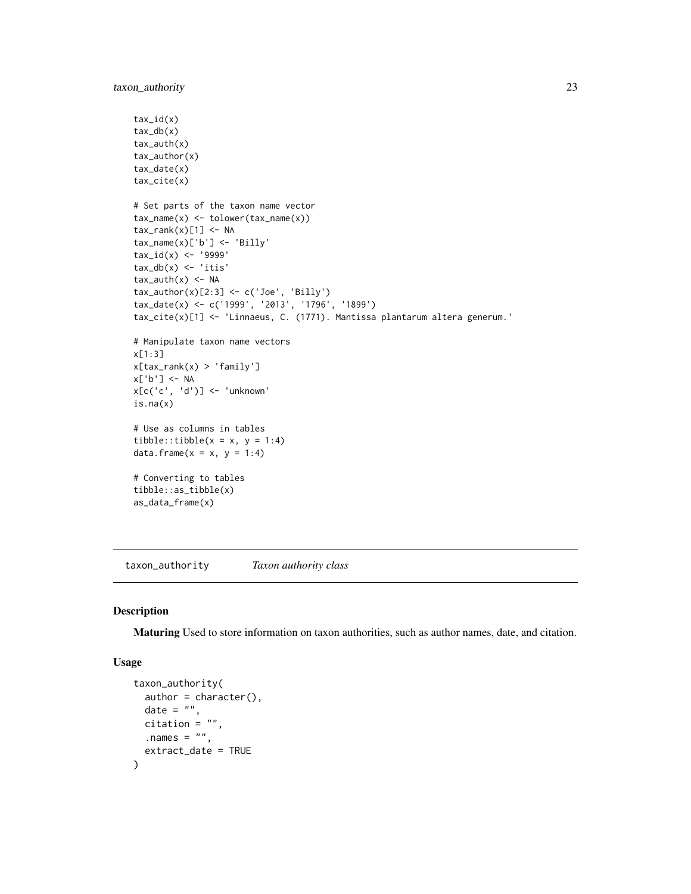```
tax_id(x)
tax_db(x)
tax_auth(x)
tax_author(x)
tax_date(x)
tax_cite(x)
# Set parts of the taxon name vector
tax_name(x) <- tolower(tax_name(x))
tax\_rank(x)[1] < -NAtax_name(x)['b'] <- 'Billy'
tax_id(x) <- '9999'
tax_db(x) < -'itis'
tax_author(x) < -NAtax_author(x)[2:3] \leftarrow c('Joe', 'Billy')tax_date(x) <- c('1999', '2013', '1796', '1899')
tax_cite(x)[1] <- 'Linnaeus, C. (1771). Mantissa plantarum altera generum.'
# Manipulate taxon name vectors
x[1:3]
x[tax_rank(x) > 'family']
x['b'] <- NA
x[c('c', 'd')] <- 'unknown'
is.na(x)
# Use as columns in tables
tibble::tibble(x = x, y = 1:4)
data.frame(x = x, y = 1:4)# Converting to tables
tibble::as_tibble(x)
as_data_frame(x)
```
<span id="page-22-1"></span>taxon\_authority *Taxon authority class*

#### Description

Maturing Used to store information on taxon authorities, such as author names, date, and citation.

```
taxon_authority(
 author = character(),
 date = ",
 citation = "",.names = ",
 extract_date = TRUE
)
```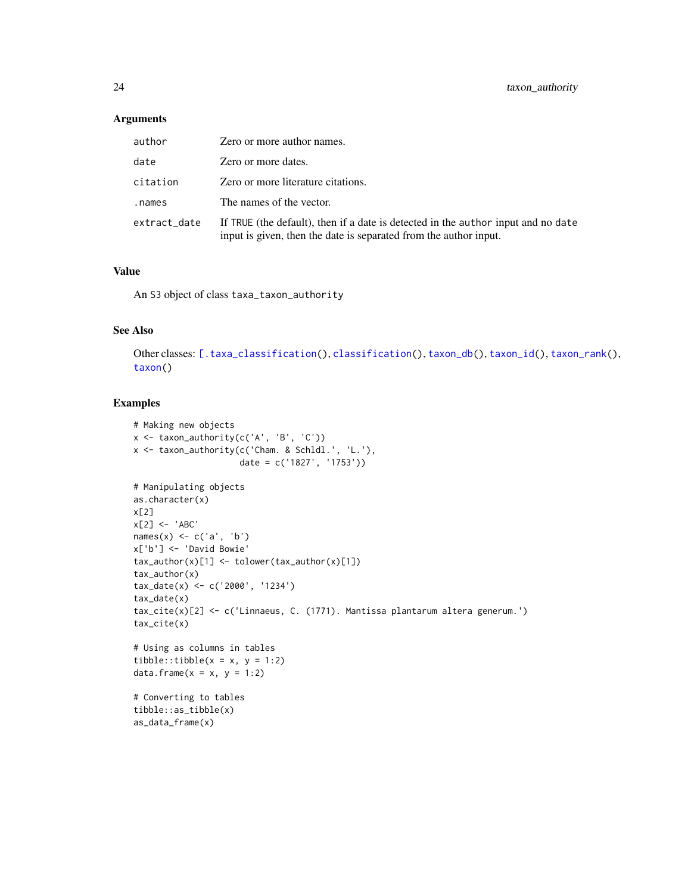<span id="page-23-0"></span>

| author       | Zero or more author names.                                                                                                                             |
|--------------|--------------------------------------------------------------------------------------------------------------------------------------------------------|
| date         | Zero or more dates.                                                                                                                                    |
| citation     | Zero or more literature citations.                                                                                                                     |
| .names       | The names of the vector.                                                                                                                               |
| extract_date | If TRUE (the default), then if a date is detected in the author input and no date<br>input is given, then the date is separated from the author input. |

#### Value

An S3 object of class taxa\_taxon\_authority

# See Also

Other classes: [\[.taxa\\_classification\(](#page-0-0)), [classification\(](#page-3-1)), [taxon\\_db\(](#page-24-1)), [taxon\\_id\(](#page-25-1)), [taxon\\_rank\(](#page-26-1)), [taxon\(](#page-21-1))

```
# Making new objects
x \le - taxon_authority(c('A', 'B', 'C'))
x <- taxon_authority(c('Cham. & Schldl.', 'L.'),
                     date = c('1827', '1753'))
# Manipulating objects
as.character(x)
x[2]
x[2] <- 'ABC'
names(x) <- c('a', 'b')x['b'] <- 'David Bowie'
tax_author(x)[1] <- tolower(tax_author(x)[1])
tax_author(x)
tax_date(x) <- c('2000', '1234')
tax_date(x)
tax_cite(x)[2] <- c('Linnaeus, C. (1771). Mantissa plantarum altera generum.')
tax_cite(x)
# Using as columns in tables
tibble::tibble(x = x, y = 1:2)
data.frame(x = x, y = 1:2)# Converting to tables
tibble::as_tibble(x)
as_data_frame(x)
```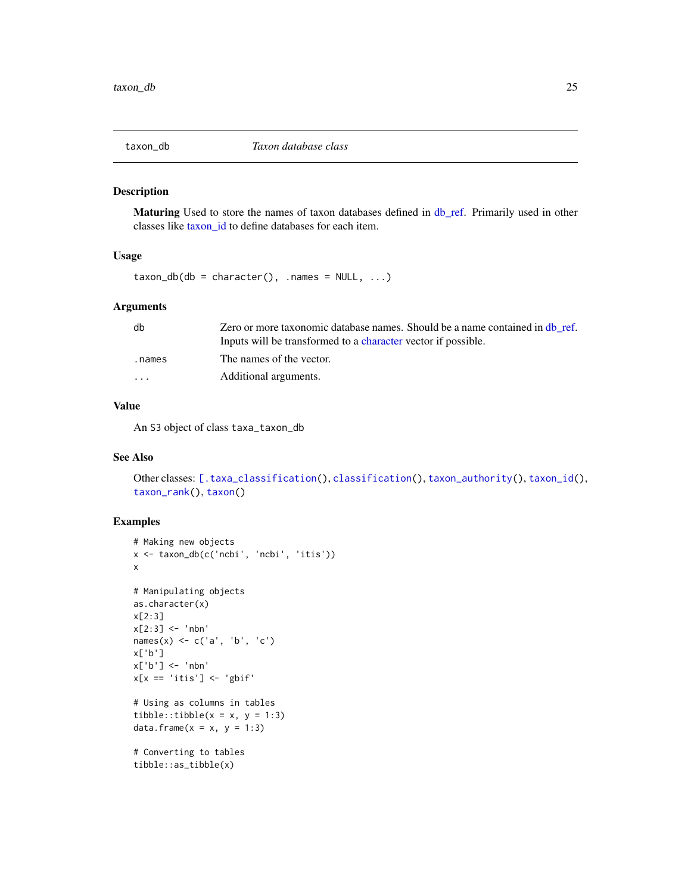<span id="page-24-1"></span><span id="page-24-0"></span>

#### Description

Maturing Used to store the names of taxon databases defined in [db\\_ref.](#page-5-1) Primarily used in other classes like [taxon\\_id](#page-25-1) to define databases for each item.

#### Usage

 $taxon_db(db = character(), .names = NULL, ...)$ 

#### Arguments

| db                      | Zero or more taxonomic database names. Should be a name contained in db ref. |
|-------------------------|------------------------------------------------------------------------------|
|                         | Inputs will be transformed to a character vector if possible.                |
| .names                  | The names of the vector.                                                     |
| $\cdot$ $\cdot$ $\cdot$ | Additional arguments.                                                        |

# Value

An S3 object of class taxa\_taxon\_db

# See Also

Other classes: [\[.taxa\\_classification\(](#page-0-0)), [classification\(](#page-3-1)), [taxon\\_authority\(](#page-22-1)), [taxon\\_id\(](#page-25-1)), [taxon\\_rank\(](#page-26-1)), [taxon\(](#page-21-1))

```
# Making new objects
x <- taxon_db(c('ncbi', 'ncbi', 'itis'))
x
# Manipulating objects
as.character(x)
x[2:3]
x[2:3] <- 'nbn'
names(x) \leq c('a', 'b', 'c')
x['b']
x['b'] <- 'nbn'
x[x == 'itis'] \leftarrow 'gbif'# Using as columns in tables
tibble::tibble(x = x, y = 1:3)
data.frame(x = x, y = 1:3)# Converting to tables
tibble::as_tibble(x)
```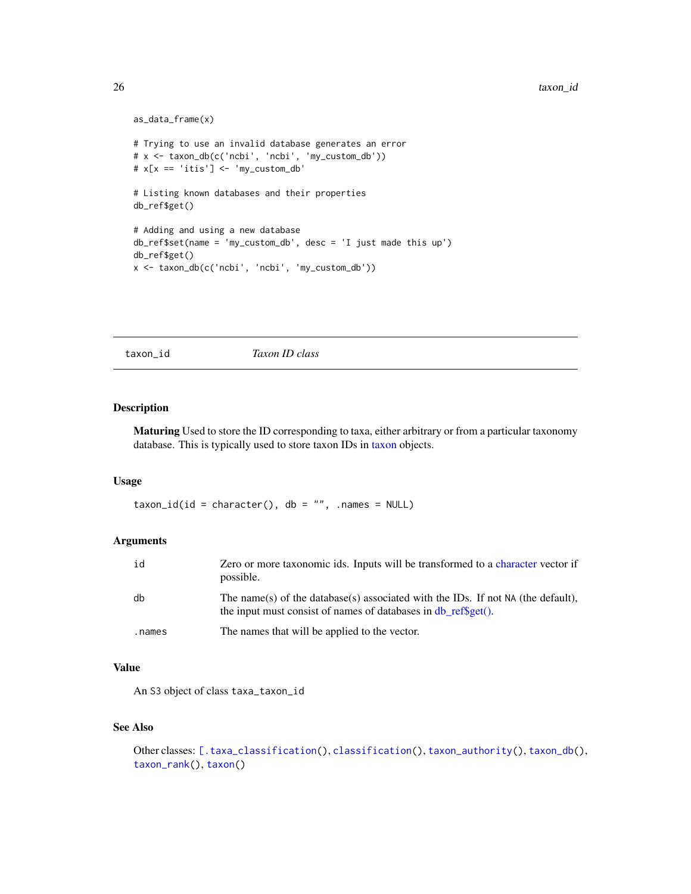```
as_data_frame(x)
# Trying to use an invalid database generates an error
# x <- taxon_db(c('ncbi', 'ncbi', 'my_custom_db'))
# x[x == 'itis'] \leftarrow 'my\_custom\_db'# Listing known databases and their properties
db_ref$get()
# Adding and using a new database
db_ref$set(name = 'my_custom_db', desc = 'I just made this up')
db_ref$get()
x <- taxon_db(c('ncbi', 'ncbi', 'my_custom_db'))
```
<span id="page-25-1"></span>taxon\_id *Taxon ID class*

#### Description

Maturing Used to store the ID corresponding to taxa, either arbitrary or from a particular taxonomy database. This is typically used to store taxon IDs in [taxon](#page-21-1) objects.

# Usage

 $taxon_id(id = character(), db = "", name = NULL)$ 

# Arguments

| id     | Zero or more taxonomic ids. Inputs will be transformed to a character vector if<br>possible.                                                         |
|--------|------------------------------------------------------------------------------------------------------------------------------------------------------|
| db     | The name(s) of the database(s) associated with the IDs. If not NA (the default),<br>the input must consist of names of databases in db $refiget()$ . |
| .names | The names that will be applied to the vector.                                                                                                        |

#### Value

An S3 object of class taxa\_taxon\_id

# See Also

```
[.taxa_classification(classification(taxon_authority(taxon_db(),
taxon_rank(), taxon()
```
<span id="page-25-0"></span>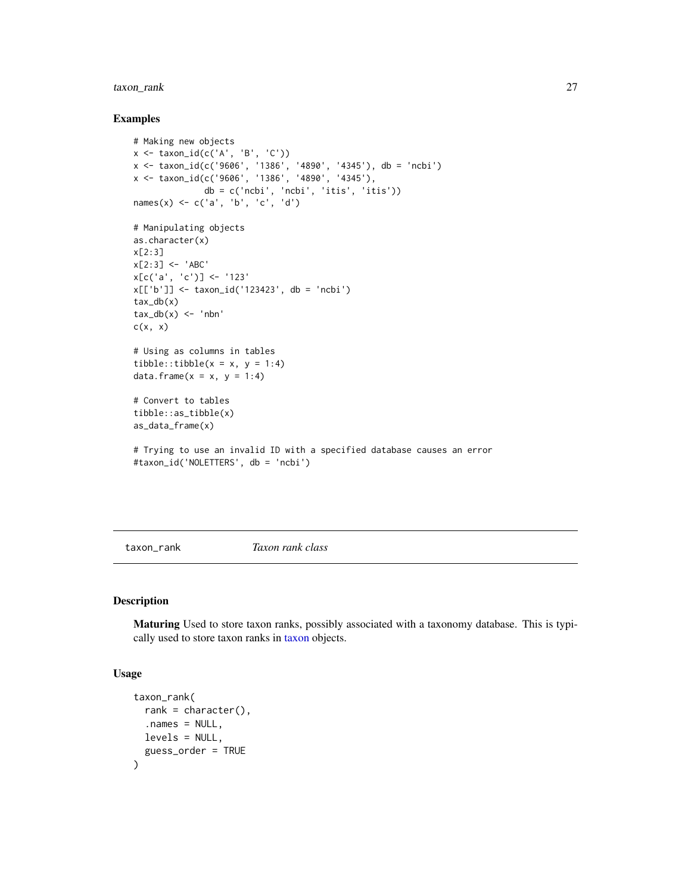# <span id="page-26-0"></span>taxon\_rank 27

#### Examples

```
# Making new objects
x <- taxon_id(c('A', 'B', 'C'))
x <- taxon_id(c('9606', '1386', '4890', '4345'), db = 'ncbi')
x <- taxon_id(c('9606', '1386', '4890', '4345'),
              db = c('ncbi', 'ncbi', 'itis', 'itis'))
names(x) <- c('a', 'b', 'c', 'd')
# Manipulating objects
as.character(x)
x[2:3]
x[2:3] <- 'ABC'
x[c('a', 'c')] < - '123'
x[['b']] <- taxon_id('123423', db = 'ncbi')
tax_db(x)
tax_db(x) < -'nbn'
c(x, x)# Using as columns in tables
tibble::tibble(x = x, y = 1:4)
data.frame(x = x, y = 1:4)# Convert to tables
tibble::as_tibble(x)
as_data_frame(x)
# Trying to use an invalid ID with a specified database causes an error
```

```
#taxon_id('NOLETTERS', db = 'ncbi')
```
<span id="page-26-1"></span>taxon\_rank *Taxon rank class*

#### Description

Maturing Used to store taxon ranks, possibly associated with a taxonomy database. This is typically used to store taxon ranks in [taxon](#page-21-1) objects.

```
taxon_rank(
 rank = character(),
  . names = NULL,levels = NULL,
  guess_order = TRUE
)
```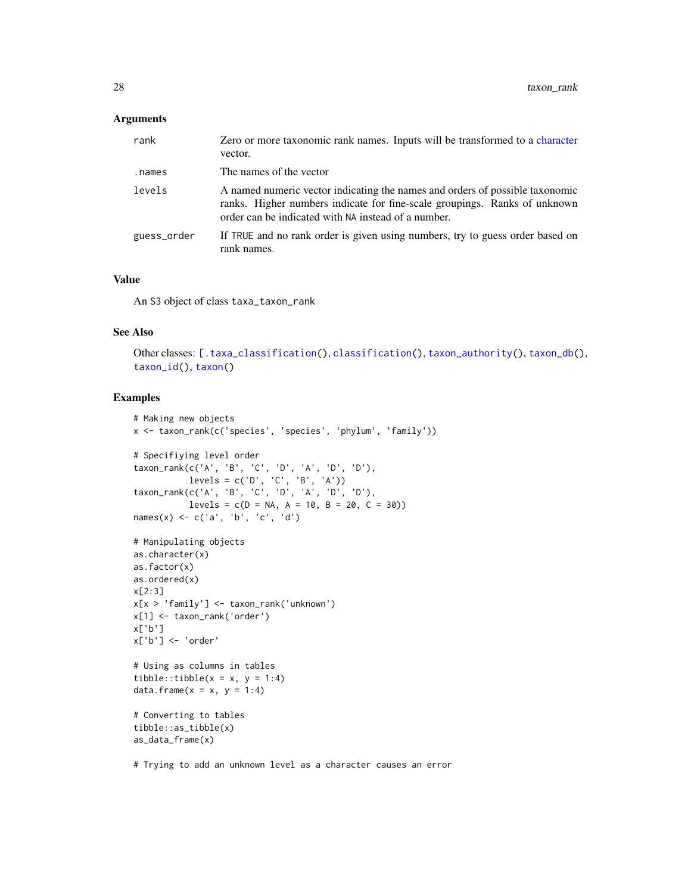<span id="page-27-0"></span>

| rank        | Zero or more taxonomic rank names. Inputs will be transformed to a character<br>vector.                                                                                                                          |
|-------------|------------------------------------------------------------------------------------------------------------------------------------------------------------------------------------------------------------------|
| .names      | The names of the vector                                                                                                                                                                                          |
| levels      | A named numeric vector indicating the names and orders of possible taxonomic<br>ranks. Higher numbers indicate for fine-scale groupings. Ranks of unknown<br>order can be indicated with NA instead of a number. |
| guess_order | If TRUE and no rank order is given using numbers, try to guess order based on<br>rank names.                                                                                                                     |

#### Value

An S3 object of class taxa\_taxon\_rank

# See Also

Other classes: [\[.taxa\\_classification\(](#page-0-0)), [classification\(](#page-3-1)), [taxon\\_authority\(](#page-22-1)), [taxon\\_db\(](#page-24-1)), [taxon\\_id\(](#page-25-1)), [taxon\(](#page-21-1))

# Examples

```
# Making new objects
x <- taxon_rank(c('species', 'species', 'phylum', 'family'))
# Specifiying level order
taxon_rank(c('A', 'B', 'C', 'D', 'A', 'D', 'D'),
          levels = c('D', 'C', 'B', 'A'))taxon_rank(c('A', 'B', 'C', 'D', 'A', 'D', 'D'),
          levels = c(D = NA, A = 10, B = 20, C = 30)names(x) \leq c('a', 'b', 'c', 'd')
# Manipulating objects
as.character(x)
as.factor(x)
as.ordered(x)
x[2:3]
x[x > 'family'] <- taxon_rank('unknown')
x[1] <- taxon_rank('order')
x['b']
x['b'] <- 'order'
# Using as columns in tables
tibble::tibble(x = x, y = 1:4)
data.frame(x = x, y = 1:4)# Converting to tables
tibble::as_tibble(x)
as_data_frame(x)
```
# Trying to add an unknown level as a character causes an error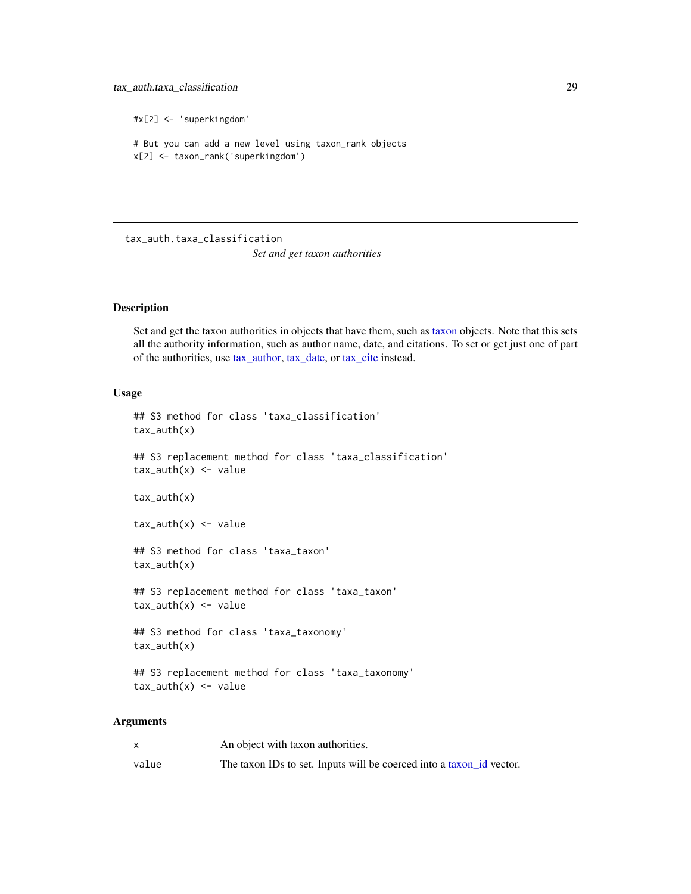# <span id="page-28-0"></span>tax\_auth.taxa\_classification 29

```
#x[2] <- 'superkingdom'
# But you can add a new level using taxon_rank objects
x[2] <- taxon_rank('superkingdom')
```
tax\_auth.taxa\_classification

*Set and get taxon authorities*

#### Description

Set and get the taxon authorities in objects that have them, such as [taxon](#page-21-1) objects. Note that this sets all the authority information, such as author name, date, and citations. To set or get just one of part of the authorities, use [tax\\_author,](#page-29-1) [tax\\_date,](#page-31-1) or [tax\\_cite](#page-30-1) instead.

#### Usage

```
## S3 method for class 'taxa_classification'
tax_auth(x)
## S3 replacement method for class 'taxa_classification'
tax_author(x) < -valuetax_auth(x)
tax_author(x) < -value## S3 method for class 'taxa_taxon'
tax_auth(x)
## S3 replacement method for class 'taxa_taxon'
tax_author(x) < -value## S3 method for class 'taxa_taxonomy'
tax_auth(x)
## S3 replacement method for class 'taxa_taxonomy'
tax_author(x) < -value
```
#### **Arguments**

|       | An object with taxon authorities.                                    |
|-------|----------------------------------------------------------------------|
| value | The taxon IDs to set. Inputs will be coerced into a taxon id vector. |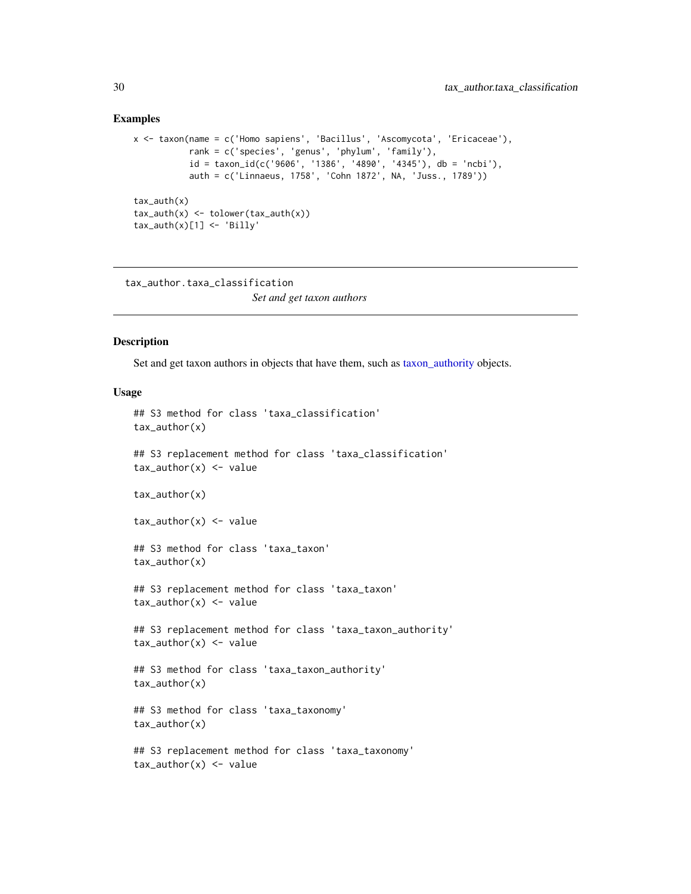#### Examples

```
x <- taxon(name = c('Homo sapiens', 'Bacillus', 'Ascomycota', 'Ericaceae'),
           rank = c('species', 'genus', 'phylum', 'family'),
           id = taxon_id(c('9606', '1386', '4890', '4345')), db = 'ncbi'),auth = c('Linnaeus, 1758', 'Cohn 1872', NA, 'Juss., 1789'))
tax_auth(x)
tax_author(x) < -\ntolower(tax_author(x))tax_author(x)[1] < - 'Billy'
```
tax\_author.taxa\_classification

# *Set and get taxon authors*

# <span id="page-29-1"></span>**Description**

Set and get taxon authors in objects that have them, such as [taxon\\_authority](#page-22-1) objects.

#### Usage

```
## S3 method for class 'taxa_classification'
tax_author(x)
## S3 replacement method for class 'taxa_classification'
tax_author(x) < - valuetax_author(x)
tax_author(x) < - value## S3 method for class 'taxa_taxon'
tax_author(x)
## S3 replacement method for class 'taxa_taxon'
tax_author(x) < - value## S3 replacement method for class 'taxa_taxon_authority'
tax_author(x) < - value## S3 method for class 'taxa_taxon_authority'
tax_author(x)
## S3 method for class 'taxa_taxonomy'
tax_author(x)
## S3 replacement method for class 'taxa_taxonomy'
```
 $tax_author(x) < - value$ 

<span id="page-29-0"></span>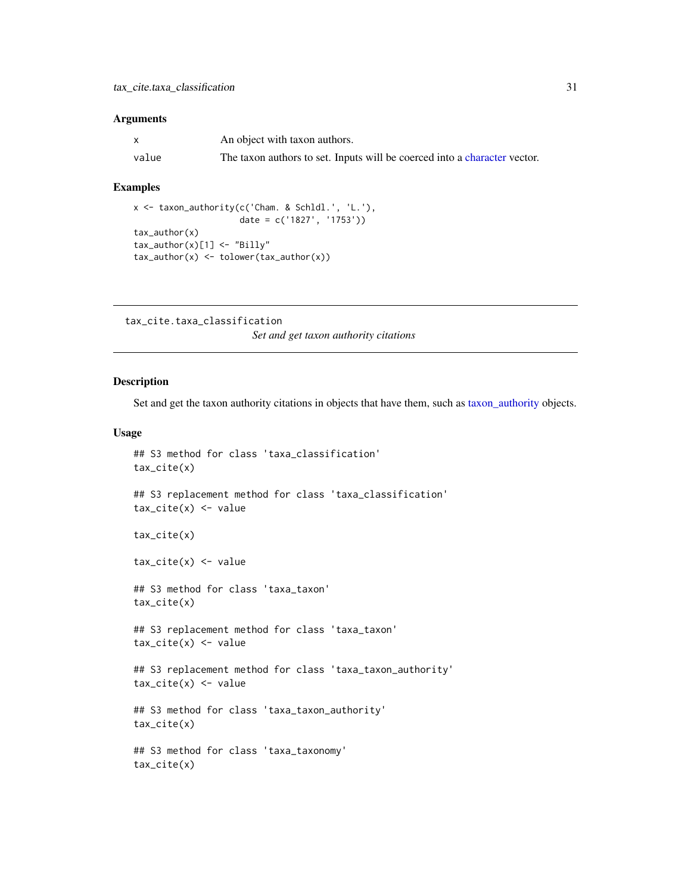<span id="page-30-0"></span>

| $\mathsf{x}$ | An object with taxon authors.                                             |
|--------------|---------------------------------------------------------------------------|
| value        | The taxon authors to set. Inputs will be coerced into a character vector. |

#### Examples

```
x <- taxon_authority(c('Cham. & Schldl.', 'L.'),
                      date = c('1827', '1753'))
tax_author(x)
tax_author(x)[1] < - "Billy"
tax_author(x) \leftarrow tolower(tax_author(x))
```
tax\_cite.taxa\_classification *Set and get taxon authority citations*

#### <span id="page-30-1"></span>Description

Set and get the taxon authority citations in objects that have them, such as [taxon\\_authority](#page-22-1) objects.

```
## S3 method for class 'taxa_classification'
tax_cite(x)
## S3 replacement method for class 'taxa_classification'
tax\_cite(x) < - valuetax_cite(x)
tax\_cite(x) < - value## S3 method for class 'taxa_taxon'
tax_cite(x)
## S3 replacement method for class 'taxa_taxon'
tax\_cite(x) < - value## S3 replacement method for class 'taxa_taxon_authority'
tax\_cite(x) < - value## S3 method for class 'taxa_taxon_authority'
tax_cite(x)
## S3 method for class 'taxa_taxonomy'
tax_cite(x)
```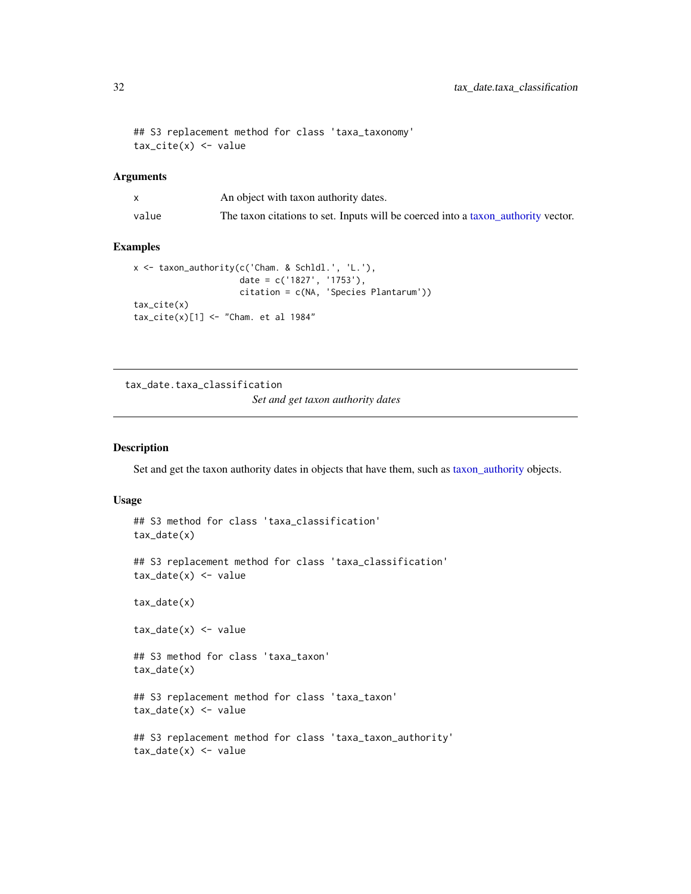```
## S3 replacement method for class 'taxa_taxonomy'
tax\_cite(x) < - value
```

|       | An object with taxon authority dates.                                             |
|-------|-----------------------------------------------------------------------------------|
| value | The taxon citations to set. Inputs will be coerced into a taxon authority vector. |

# Examples

```
x <- taxon_authority(c('Cham. & Schldl.', 'L.'),
                     date = c('1827', '1753'),
                     citation = c(NA, 'Species Plantarum'))
tax_cite(x)
tax\_cite(x)[1] < - "Cham. et al 1984"
```
tax\_date.taxa\_classification *Set and get taxon authority dates*

# <span id="page-31-1"></span>Description

Set and get the taxon authority dates in objects that have them, such as [taxon\\_authority](#page-22-1) objects.

```
## S3 method for class 'taxa_classification'
tax_date(x)
## S3 replacement method for class 'taxa_classification'
tax_data(x) < -valuetax_date(x)
tax_data(x) < - value## S3 method for class 'taxa_taxon'
tax_date(x)
## S3 replacement method for class 'taxa_taxon'
tax_data(x) < - value## S3 replacement method for class 'taxa_taxon_authority'
tax_data(x) < - value
```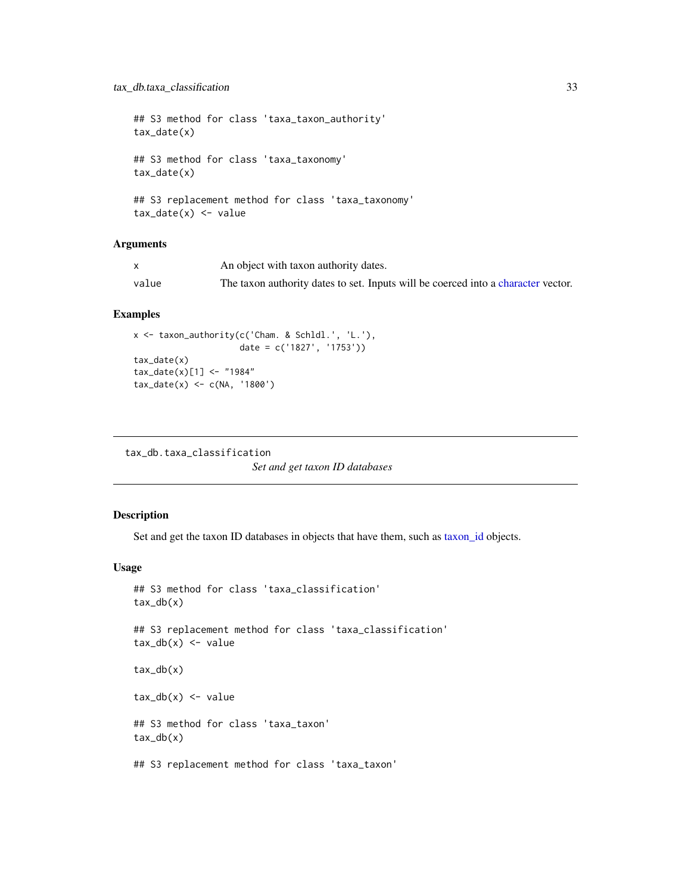# <span id="page-32-0"></span>tax\_db.taxa\_classification 33

## S3 method for class 'taxa\_taxon\_authority' tax\_date(x) ## S3 method for class 'taxa\_taxonomy' tax\_date(x) ## S3 replacement method for class 'taxa\_taxonomy'  $tax_data(x) < - value$ 

#### Arguments

|       | An object with taxon authority dates.                                             |
|-------|-----------------------------------------------------------------------------------|
| value | The taxon authority dates to set. Inputs will be coerced into a character vector. |

#### Examples

```
x <- taxon_authority(c('Cham. & Schldl.', 'L.'),
                     date = c('1827', '1753'))
tax_date(x)
tax\_date(x)[1] < - "1984"
tax_data(x) < -c(NA, '1800')
```

```
tax_db.taxa_classification
                        Set and get taxon ID databases
```
# Description

Set and get the taxon ID databases in objects that have them, such as [taxon\\_id](#page-25-1) objects.

```
## S3 method for class 'taxa_classification'
tax_db(x)## S3 replacement method for class 'taxa_classification'
tax_db(x) < -valuetax_db(x)tax_db(x) < - value
## S3 method for class 'taxa_taxon'
tax_db(x)
## S3 replacement method for class 'taxa_taxon'
```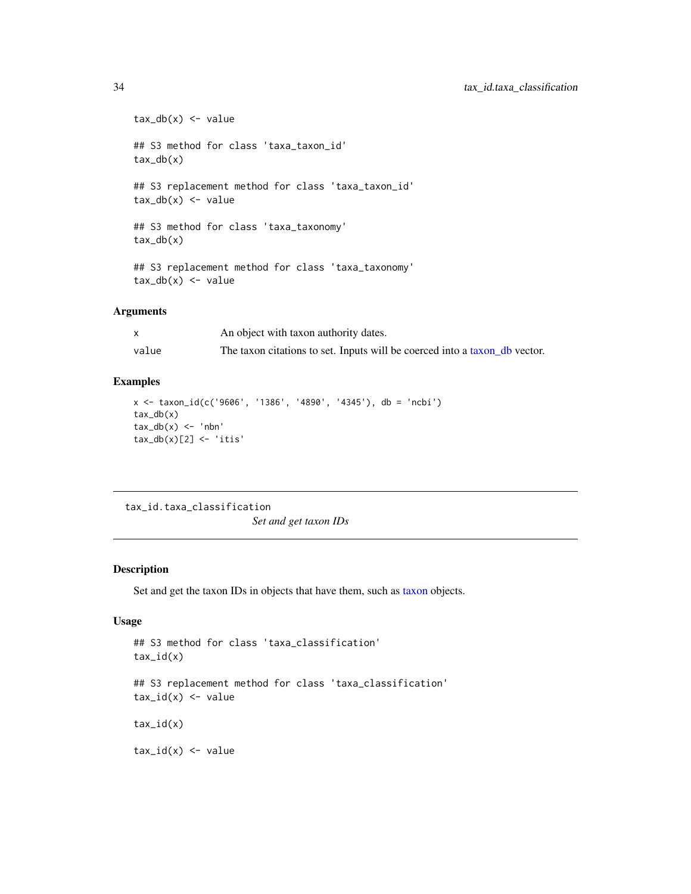```
tax_db(x) < -value## S3 method for class 'taxa_taxon_id'
tax_db(x)
## S3 replacement method for class 'taxa_taxon_id'
tax_d b(x) \leftarrow value## S3 method for class 'taxa_taxonomy'
tax_db(x)## S3 replacement method for class 'taxa_taxonomy'
tax_db(x) < -value
```

|       | An object with taxon authority dates.                                      |
|-------|----------------------------------------------------------------------------|
| value | The taxon citations to set. Inputs will be coerced into a taxon db vector. |

#### Examples

```
x <- taxon_id(c('9606', '1386', '4890', '4345'), db = 'ncbi')
tax_db(x)tax_db(x) < -'nbn'
tax_db(x)[2] <- 'itis'
```
tax\_id.taxa\_classification

```
Set and get taxon IDs
```
#### Description

Set and get the taxon IDs in objects that have them, such as [taxon](#page-21-1) objects.

# Usage

```
## S3 method for class 'taxa_classification'
tax_id(x)## S3 replacement method for class 'taxa_classification'
tax_id(x) < - value
```
 $tax_id(x)$ 

 $tax_id(x) < -$  value

<span id="page-33-0"></span>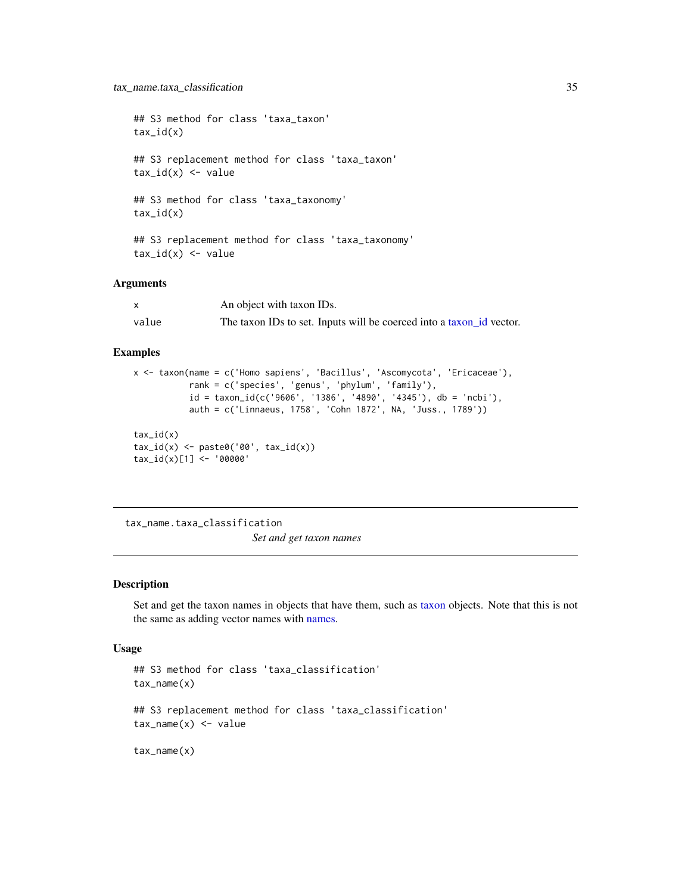```
## S3 method for class 'taxa_taxon'
tax_id(x)## S3 replacement method for class 'taxa_taxon'
tax_id(x) < - value
## S3 method for class 'taxa_taxonomy'
tax_id(x)## S3 replacement method for class 'taxa_taxonomy'
tax_id(x) < - value
```

|       | An object with taxon IDs.                                            |
|-------|----------------------------------------------------------------------|
| value | The taxon IDs to set. Inputs will be coerced into a taxon id vector. |

#### Examples

```
x <- taxon(name = c('Homo sapiens', 'Bacillus', 'Ascomycota', 'Ericaceae'),
           rank = c('species', 'genus', 'phylum', 'family'),
           id = taxon_id(c('9606', '1386', '4890', '4345'), db = 'ncbi'),
           auth = c('Linnaeus, 1758', 'Cohn 1872', NA, 'Juss., 1789'))
tax_id(x)
tax_id(x) \leftarrow paste0('00', tax_id(x))tax_id(x)[1] <- '00000'
```
tax\_name.taxa\_classification *Set and get taxon names*

# Description

Set and get the taxon names in objects that have them, such as [taxon](#page-21-1) objects. Note that this is not the same as adding vector names with [names.](#page-0-0)

```
## S3 method for class 'taxa_classification'
tax_name(x)
## S3 replacement method for class 'taxa_classification'
tax_name(x) < - valuetax_name(x)
```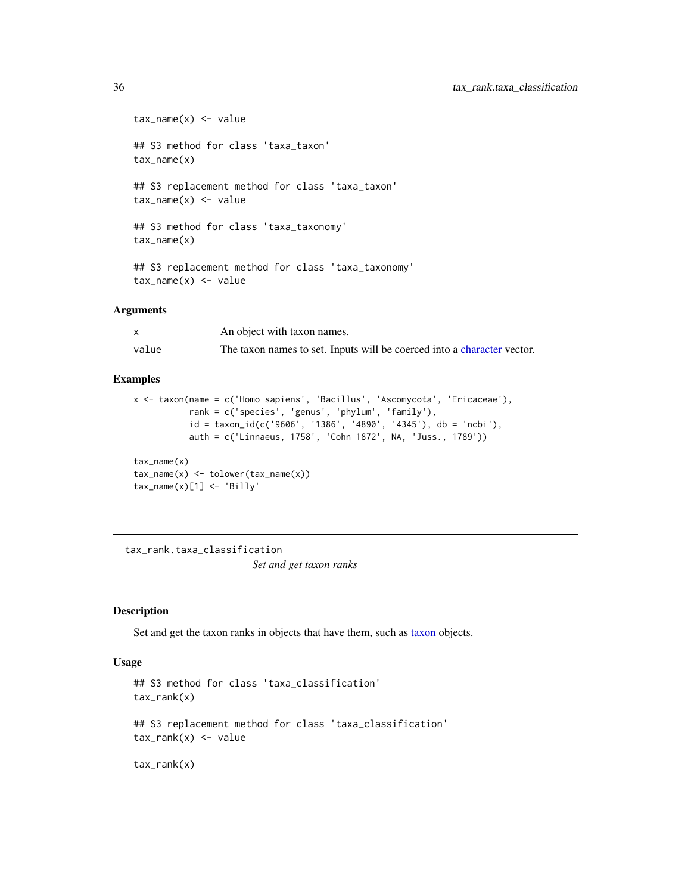```
tax_name(x) < - value## S3 method for class 'taxa_taxon'
tax_name(x)
## S3 replacement method for class 'taxa_taxon'
tax_name(x) < - value## S3 method for class 'taxa_taxonomy'
tax_name(x)
## S3 replacement method for class 'taxa_taxonomy'
tax_name(x) < - value
```

|       | An object with taxon names.                                             |
|-------|-------------------------------------------------------------------------|
| value | The taxon names to set. Inputs will be coerced into a character vector. |

# Examples

```
x <- taxon(name = c('Homo sapiens', 'Bacillus', 'Ascomycota', 'Ericaceae'),
           rank = c('species', 'genus', 'phylum', 'family'),
           id = taxon_id(c('9606', '1386', '4890', '4345'), db = 'ncbi'),
           auth = c('Linnaeus, 1758', 'Cohn 1872', NA, 'Juss., 1789'))
tax_name(x)
```

```
tax_name(x) < -tolower(tax_name(x))tax_name(x)[1] < - 'Billy'
```
tax\_rank.taxa\_classification *Set and get taxon ranks*

#### Description

Set and get the taxon ranks in objects that have them, such as [taxon](#page-21-1) objects.

```
## S3 method for class 'taxa_classification'
tax_rank(x)
## S3 replacement method for class 'taxa_classification'
tax\_rank(x) \leq - value
```

```
tax_rank(x)
```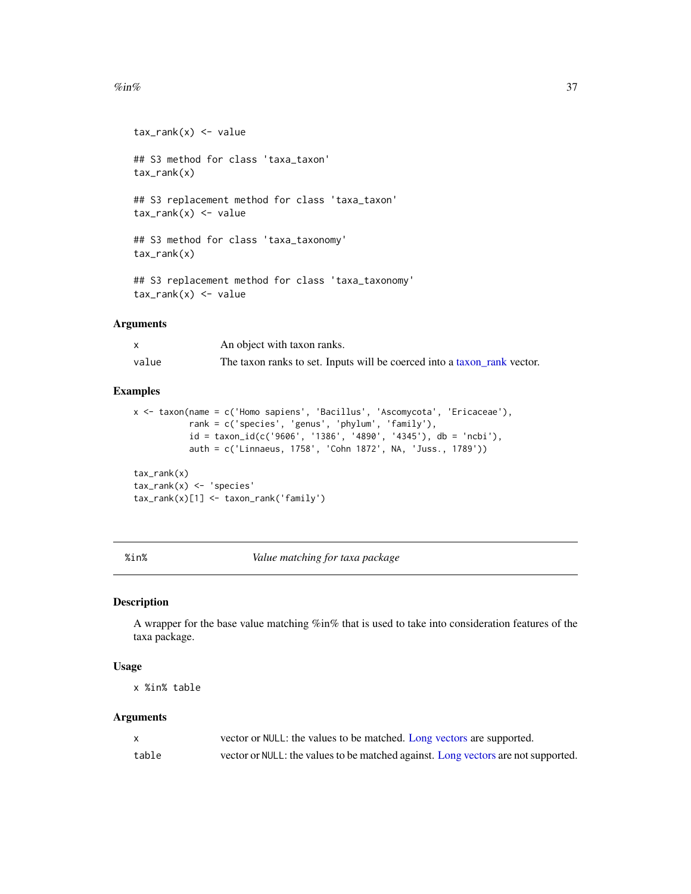#### <span id="page-36-0"></span> $\%$ in% 37

```
tax\_rank(x) < - value## S3 method for class 'taxa_taxon'
tax_rank(x)
## S3 replacement method for class 'taxa_taxon'
tax\_rank(x) <- value
## S3 method for class 'taxa_taxonomy'
tax_rank(x)
## S3 replacement method for class 'taxa_taxonomy'
tax\_rank(x) \leq - value
```
#### Arguments

|       | An object with taxon ranks.                                              |
|-------|--------------------------------------------------------------------------|
| value | The taxon ranks to set. Inputs will be coerced into a taxon rank vector. |

# Examples

```
x <- taxon(name = c('Homo sapiens', 'Bacillus', 'Ascomycota', 'Ericaceae'),
           rank = c('species', 'genus', 'phylum', 'family'),
           id = taxon_id(c('9606', '1386', '4890', '4345')), db = 'ncbi'),auth = c('Linnaeus, 1758', 'Cohn 1872', NA, 'Juss., 1789'))
tax_rank(x)
tax_rank(x) <- 'species'
tax_rank(x)[1] <- taxon_rank('family')
```
%in% *Value matching for taxa package*

# Description

A wrapper for the base value matching %in% that is used to take into consideration features of the taxa package.

#### Usage

x %in% table

#### Arguments

|       | vector or NULL: the values to be matched. Long vectors are supported.             |
|-------|-----------------------------------------------------------------------------------|
| table | vector or NULL: the values to be matched against. Long vectors are not supported. |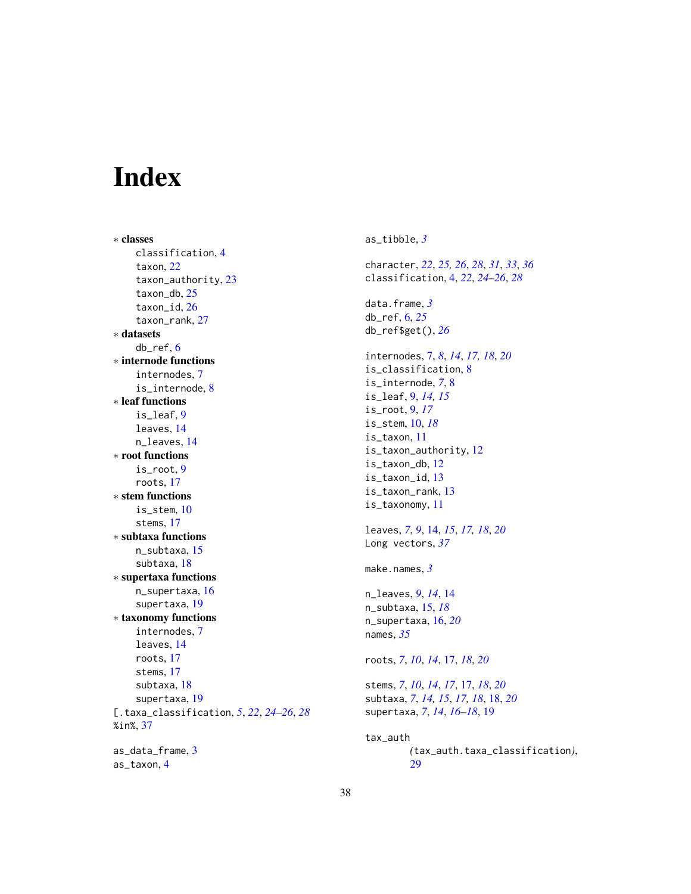# <span id="page-37-0"></span>Index

∗ classes classification, [4](#page-3-0) taxon, [22](#page-21-0) taxon\_authority, [23](#page-22-0) taxon\_db, [25](#page-24-0) taxon\_id, [26](#page-25-0) taxon\_rank, [27](#page-26-0) ∗ datasets db\_ref, [6](#page-5-0) ∗ internode functions internodes, [7](#page-6-0) is\_internode, [8](#page-7-0) ∗ leaf functions is\_leaf, [9](#page-8-0) leaves, [14](#page-13-0) n\_leaves, [14](#page-13-0) ∗ root functions is  $root.9$  $root.9$ roots, [17](#page-16-0) ∗ stem functions is\_stem, [10](#page-9-0) stems, [17](#page-16-0) ∗ subtaxa functions n\_subtaxa, [15](#page-14-0) subtaxa, [18](#page-17-0) ∗ supertaxa functions n\_supertaxa, [16](#page-15-0) supertaxa, [19](#page-18-0) ∗ taxonomy functions internodes, [7](#page-6-0) leaves, [14](#page-13-0) roots, [17](#page-16-0) stems, [17](#page-16-0) subtaxa, [18](#page-17-0) supertaxa, [19](#page-18-0) [.taxa\_classification, *[5](#page-4-0)*, *[22](#page-21-0)*, *[24–](#page-23-0)[26](#page-25-0)*, *[28](#page-27-0)* %in%, [37](#page-36-0) as\_data\_frame, [3](#page-2-0) as\_taxon, [4](#page-3-0)

as\_tibble, *[3](#page-2-0)* character, *[22](#page-21-0)*, *[25,](#page-24-0) [26](#page-25-0)*, *[28](#page-27-0)*, *[31](#page-30-0)*, *[33](#page-32-0)*, *[36](#page-35-0)* classification, [4,](#page-3-0) *[22](#page-21-0)*, *[24](#page-23-0)[–26](#page-25-0)*, *[28](#page-27-0)* data.frame, *[3](#page-2-0)* db\_ref, [6,](#page-5-0) *[25](#page-24-0)* db\_ref\$get(), *[26](#page-25-0)* internodes, [7,](#page-6-0) *[8](#page-7-0)*, *[14](#page-13-0)*, *[17,](#page-16-0) [18](#page-17-0)*, *[20](#page-19-0)* is\_classification, [8](#page-7-0) is\_internode, *[7](#page-6-0)*, [8](#page-7-0) is\_leaf, [9,](#page-8-0) *[14,](#page-13-0) [15](#page-14-0)* is\_root, [9,](#page-8-0) *[17](#page-16-0)* is\_stem, [10,](#page-9-0) *[18](#page-17-0)* is\_taxon, [11](#page-10-0) is\_taxon\_authority, [12](#page-11-0) is\_taxon\_db, [12](#page-11-0) is\_taxon\_id, [13](#page-12-0) is\_taxon\_rank, [13](#page-12-0) is\_taxonomy, [11](#page-10-0) leaves, *[7](#page-6-0)*, *[9](#page-8-0)*, [14,](#page-13-0) *[15](#page-14-0)*, *[17,](#page-16-0) [18](#page-17-0)*, *[20](#page-19-0)* Long vectors, *[37](#page-36-0)* make.names, *[3](#page-2-0)* n\_leaves, *[9](#page-8-0)*, *[14](#page-13-0)*, [14](#page-13-0) n\_subtaxa, [15,](#page-14-0) *[18](#page-17-0)* n\_supertaxa, [16,](#page-15-0) *[20](#page-19-0)* names, *[35](#page-34-0)* roots, *[7](#page-6-0)*, *[10](#page-9-0)*, *[14](#page-13-0)*, [17,](#page-16-0) *[18](#page-17-0)*, *[20](#page-19-0)* stems, *[7](#page-6-0)*, *[10](#page-9-0)*, *[14](#page-13-0)*, *[17](#page-16-0)*, [17,](#page-16-0) *[18](#page-17-0)*, *[20](#page-19-0)* subtaxa, *[7](#page-6-0)*, *[14,](#page-13-0) [15](#page-14-0)*, *[17,](#page-16-0) [18](#page-17-0)*, [18,](#page-17-0) *[20](#page-19-0)* supertaxa, *[7](#page-6-0)*, *[14](#page-13-0)*, *[16](#page-15-0)[–18](#page-17-0)*, [19](#page-18-0) tax\_auth *(*tax\_auth.taxa\_classification*)*, [29](#page-28-0)